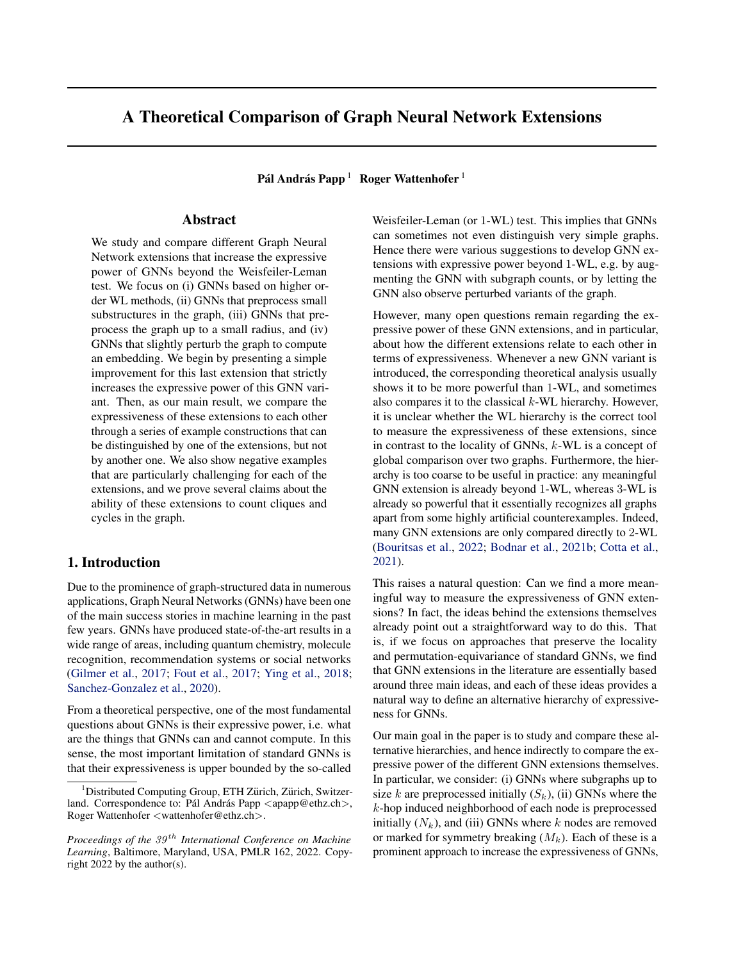# A Theoretical Comparison of Graph Neural Network Extensions

Pál András Papp  $^1~\,$  Roger Wattenhofer  $^1$ 

# Abstract

We study and compare different Graph Neural Network extensions that increase the expressive power of GNNs beyond the Weisfeiler-Leman test. We focus on (i) GNNs based on higher order WL methods, (ii) GNNs that preprocess small substructures in the graph, (iii) GNNs that preprocess the graph up to a small radius, and (iv) GNNs that slightly perturb the graph to compute an embedding. We begin by presenting a simple improvement for this last extension that strictly increases the expressive power of this GNN variant. Then, as our main result, we compare the expressiveness of these extensions to each other through a series of example constructions that can be distinguished by one of the extensions, but not by another one. We also show negative examples that are particularly challenging for each of the extensions, and we prove several claims about the ability of these extensions to count cliques and cycles in the graph.

# 1. Introduction

Due to the prominence of graph-structured data in numerous applications, Graph Neural Networks (GNNs) have been one of the main success stories in machine learning in the past few years. GNNs have produced state-of-the-art results in a wide range of areas, including quantum chemistry, molecule recognition, recommendation systems or social networks [\(Gilmer et al.,](#page-9-0) [2017;](#page-9-0) [Fout et al.,](#page-9-1) [2017;](#page-9-1) [Ying et al.,](#page-10-0) [2018;](#page-10-0) [Sanchez-Gonzalez et al.,](#page-10-1) [2020\)](#page-10-1).

From a theoretical perspective, one of the most fundamental questions about GNNs is their expressive power, i.e. what are the things that GNNs can and cannot compute. In this sense, the most important limitation of standard GNNs is that their expressiveness is upper bounded by the so-called

Weisfeiler-Leman (or 1-WL) test. This implies that GNNs can sometimes not even distinguish very simple graphs. Hence there were various suggestions to develop GNN extensions with expressive power beyond 1-WL, e.g. by augmenting the GNN with subgraph counts, or by letting the GNN also observe perturbed variants of the graph.

However, many open questions remain regarding the expressive power of these GNN extensions, and in particular, about how the different extensions relate to each other in terms of expressiveness. Whenever a new GNN variant is introduced, the corresponding theoretical analysis usually shows it to be more powerful than 1-WL, and sometimes also compares it to the classical  $k$ -WL hierarchy. However, it is unclear whether the WL hierarchy is the correct tool to measure the expressiveness of these extensions, since in contrast to the locality of GNNs, k-WL is a concept of global comparison over two graphs. Furthermore, the hierarchy is too coarse to be useful in practice: any meaningful GNN extension is already beyond 1-WL, whereas 3-WL is already so powerful that it essentially recognizes all graphs apart from some highly artificial counterexamples. Indeed, many GNN extensions are only compared directly to 2-WL [\(Bouritsas et al.,](#page-9-2) [2022;](#page-9-2) [Bodnar et al.,](#page-9-3) [2021b;](#page-9-3) [Cotta et al.,](#page-9-4) [2021\)](#page-9-4).

This raises a natural question: Can we find a more meaningful way to measure the expressiveness of GNN extensions? In fact, the ideas behind the extensions themselves already point out a straightforward way to do this. That is, if we focus on approaches that preserve the locality and permutation-equivariance of standard GNNs, we find that GNN extensions in the literature are essentially based around three main ideas, and each of these ideas provides a natural way to define an alternative hierarchy of expressiveness for GNNs.

Our main goal in the paper is to study and compare these alternative hierarchies, and hence indirectly to compare the expressive power of the different GNN extensions themselves. In particular, we consider: (i) GNNs where subgraphs up to size k are preprocessed initially  $(S_k)$ , (ii) GNNs where the k-hop induced neighborhood of each node is preprocessed initially  $(N_k)$ , and (iii) GNNs where k nodes are removed or marked for symmetry breaking  $(M_k)$ . Each of these is a prominent approach to increase the expressiveness of GNNs,

<sup>&</sup>lt;sup>1</sup>Distributed Computing Group, ETH Zürich, Zürich, Switzerland. Correspondence to: Pál András Papp  $\langle$ apapp@ethz.ch $\rangle$ , Roger Wattenhofer <wattenhofer@ethz.ch>.

*Proceedings of the*  $39<sup>th</sup>$  *International Conference on Machine Learning*, Baltimore, Maryland, USA, PMLR 162, 2022. Copyright 2022 by the author(s).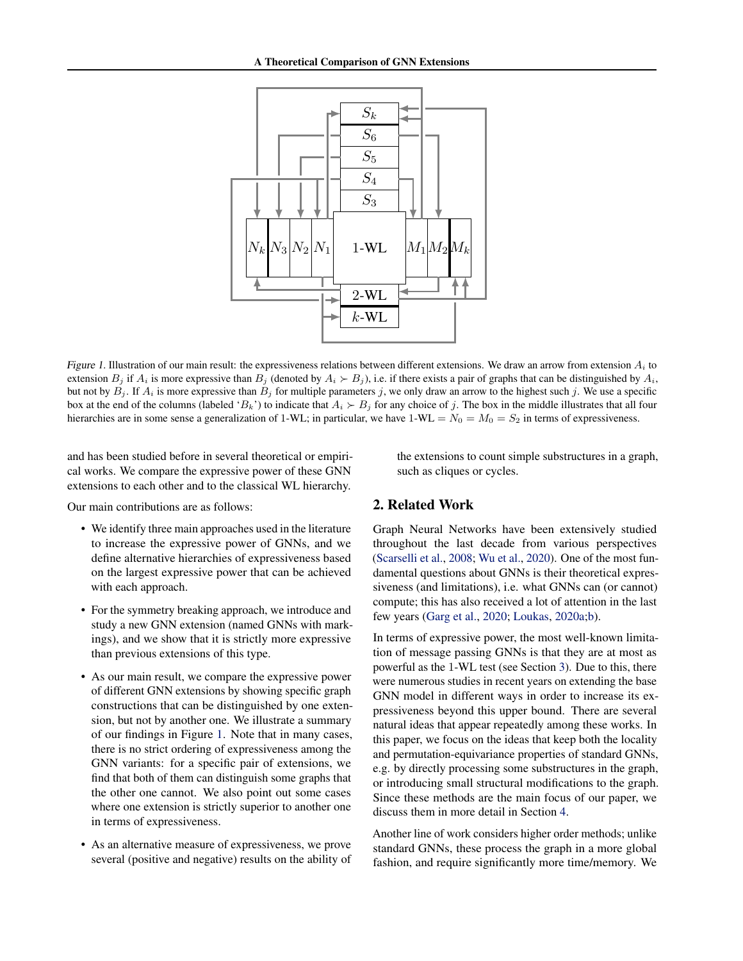

Figure 1. Illustration of our main result: the expressiveness relations between different extensions. We draw an arrow from extension  $A_i$  to extension  $B_j$  if  $A_i$  is more expressive than  $B_j$  (denoted by  $A_i \succ B_j$ ), i.e. if there exists a pair of graphs that can be distinguished by  $A_i$ , but not by  $B_j$ . If  $A_i$  is more expressive than  $B_j$  for multiple parameters j, we only draw an arrow to the highest such j. We use a specific box at the end of the columns (labeled ' $B_k$ ') to indicate that  $A_i \succ B_j$  for any choice of j. The box in the middle illustrates that all four hierarchies are in some sense a generalization of 1-WL; in particular, we have  $1-W = N_0 = M_0 = S_2$  in terms of expressiveness.

and has been studied before in several theoretical or empirical works. We compare the expressive power of these GNN extensions to each other and to the classical WL hierarchy.

Our main contributions are as follows:

- We identify three main approaches used in the literature to increase the expressive power of GNNs, and we define alternative hierarchies of expressiveness based on the largest expressive power that can be achieved with each approach.
- For the symmetry breaking approach, we introduce and study a new GNN extension (named GNNs with markings), and we show that it is strictly more expressive than previous extensions of this type.
- As our main result, we compare the expressive power of different GNN extensions by showing specific graph constructions that can be distinguished by one extension, but not by another one. We illustrate a summary of our findings in Figure [1.](#page-1-0) Note that in many cases, there is no strict ordering of expressiveness among the GNN variants: for a specific pair of extensions, we find that both of them can distinguish some graphs that the other one cannot. We also point out some cases where one extension is strictly superior to another one in terms of expressiveness.
- As an alternative measure of expressiveness, we prove several (positive and negative) results on the ability of

<span id="page-1-0"></span>the extensions to count simple substructures in a graph, such as cliques or cycles.

# 2. Related Work

Graph Neural Networks have been extensively studied throughout the last decade from various perspectives [\(Scarselli et al.,](#page-10-2) [2008;](#page-10-2) [Wu et al.,](#page-10-3) [2020\)](#page-10-3). One of the most fundamental questions about GNNs is their theoretical expressiveness (and limitations), i.e. what GNNs can (or cannot) compute; this has also received a lot of attention in the last few years [\(Garg et al.,](#page-9-5) [2020;](#page-9-5) [Loukas,](#page-9-6) [2020a;](#page-9-6)[b\)](#page-9-7).

In terms of expressive power, the most well-known limitation of message passing GNNs is that they are at most as powerful as the 1-WL test (see Section [3\)](#page-2-0). Due to this, there were numerous studies in recent years on extending the base GNN model in different ways in order to increase its expressiveness beyond this upper bound. There are several natural ideas that appear repeatedly among these works. In this paper, we focus on the ideas that keep both the locality and permutation-equivariance properties of standard GNNs, e.g. by directly processing some substructures in the graph, or introducing small structural modifications to the graph. Since these methods are the main focus of our paper, we discuss them in more detail in Section [4.](#page-3-0)

Another line of work considers higher order methods; unlike standard GNNs, these process the graph in a more global fashion, and require significantly more time/memory. We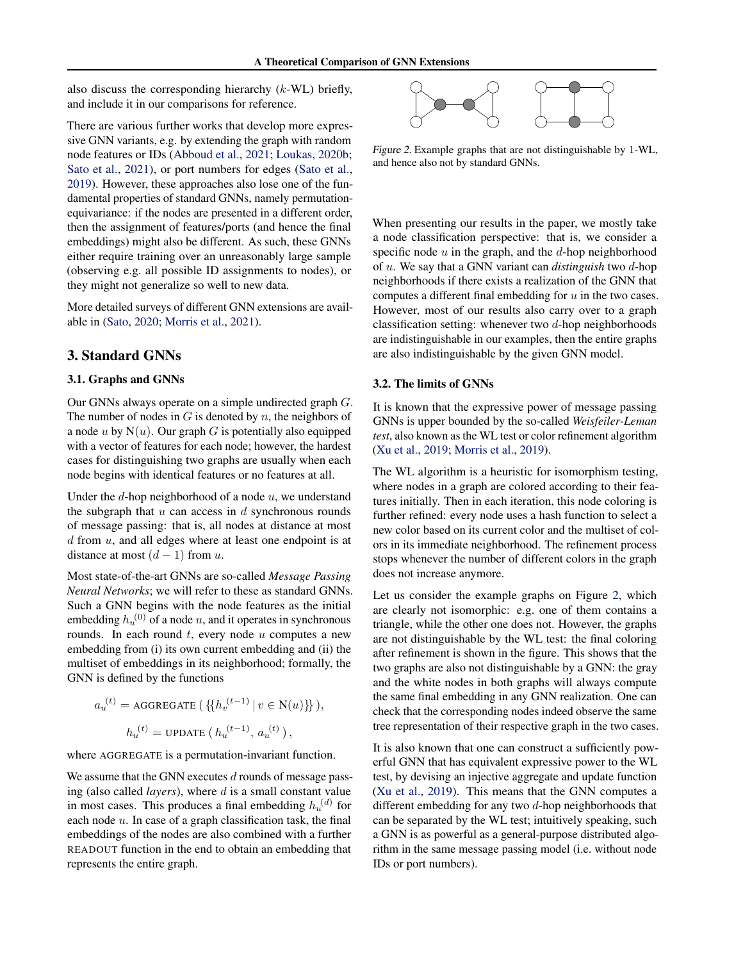also discuss the corresponding hierarchy  $(k-WL)$  briefly, and include it in our comparisons for reference.

There are various further works that develop more expressive GNN variants, e.g. by extending the graph with random node features or IDs [\(Abboud et al.,](#page-9-8) [2021;](#page-9-8) [Loukas,](#page-9-7) [2020b;](#page-9-7) [Sato et al.,](#page-10-4) [2021\)](#page-10-4), or port numbers for edges [\(Sato et al.,](#page-10-5) [2019\)](#page-10-5). However, these approaches also lose one of the fundamental properties of standard GNNs, namely permutationequivariance: if the nodes are presented in a different order, then the assignment of features/ports (and hence the final embeddings) might also be different. As such, these GNNs either require training over an unreasonably large sample (observing e.g. all possible ID assignments to nodes), or they might not generalize so well to new data.

More detailed surveys of different GNN extensions are available in [\(Sato,](#page-10-6) [2020;](#page-10-6) [Morris et al.,](#page-9-9) [2021\)](#page-9-9).

### <span id="page-2-0"></span>3. Standard GNNs

### 3.1. Graphs and GNNs

Our GNNs always operate on a simple undirected graph G. The number of nodes in  $G$  is denoted by  $n$ , the neighbors of a node u by  $N(u)$ . Our graph G is potentially also equipped with a vector of features for each node; however, the hardest cases for distinguishing two graphs are usually when each node begins with identical features or no features at all.

Under the  $d$ -hop neighborhood of a node  $u$ , we understand the subgraph that  $u$  can access in  $d$  synchronous rounds of message passing: that is, all nodes at distance at most  $d$  from  $u$ , and all edges where at least one endpoint is at distance at most  $(d-1)$  from u.

Most state-of-the-art GNNs are so-called *Message Passing Neural Networks*; we will refer to these as standard GNNs. Such a GNN begins with the node features as the initial embedding  $h_u^{(0)}$  of a node u, and it operates in synchronous rounds. In each round  $t$ , every node  $u$  computes a new embedding from (i) its own current embedding and (ii) the multiset of embeddings in its neighborhood; formally, the GNN is defined by the functions

$$
a_u^{(t)} = \text{AGGREGATE} \left( \{ \{ h_v^{(t-1)} \mid v \in \mathcal{N}(u) \} \} \right),
$$
  

$$
h_u^{(t)} = \text{UPDATE} \left( h_u^{(t-1)}, a_u^{(t)} \right),
$$

where AGGREGATE is a permutation-invariant function.

We assume that the GNN executes  $d$  rounds of message passing (also called *layers*), where d is a small constant value in most cases. This produces a final embedding  $h_u^{(d)}$  for each node  $u$ . In case of a graph classification task, the final embeddings of the nodes are also combined with a further READOUT function in the end to obtain an embedding that represents the entire graph.

<span id="page-2-1"></span>

Figure 2. Example graphs that are not distinguishable by 1-WL, and hence also not by standard GNNs.

When presenting our results in the paper, we mostly take a node classification perspective: that is, we consider a specific node  $u$  in the graph, and the  $d$ -hop neighborhood of u. We say that a GNN variant can *distinguish* two d-hop neighborhoods if there exists a realization of the GNN that computes a different final embedding for  $u$  in the two cases. However, most of our results also carry over to a graph classification setting: whenever two  $d$ -hop neighborhoods are indistinguishable in our examples, then the entire graphs are also indistinguishable by the given GNN model.

#### 3.2. The limits of GNNs

It is known that the expressive power of message passing GNNs is upper bounded by the so-called *Weisfeiler-Leman test*, also known as the WL test or color refinement algorithm [\(Xu et al.,](#page-10-7) [2019;](#page-10-7) [Morris et al.,](#page-9-10) [2019\)](#page-9-10).

The WL algorithm is a heuristic for isomorphism testing, where nodes in a graph are colored according to their features initially. Then in each iteration, this node coloring is further refined: every node uses a hash function to select a new color based on its current color and the multiset of colors in its immediate neighborhood. The refinement process stops whenever the number of different colors in the graph does not increase anymore.

Let us consider the example graphs on Figure [2,](#page-2-1) which are clearly not isomorphic: e.g. one of them contains a triangle, while the other one does not. However, the graphs are not distinguishable by the WL test: the final coloring after refinement is shown in the figure. This shows that the two graphs are also not distinguishable by a GNN: the gray and the white nodes in both graphs will always compute the same final embedding in any GNN realization. One can check that the corresponding nodes indeed observe the same tree representation of their respective graph in the two cases.

It is also known that one can construct a sufficiently powerful GNN that has equivalent expressive power to the WL test, by devising an injective aggregate and update function [\(Xu et al.,](#page-10-7) [2019\)](#page-10-7). This means that the GNN computes a different embedding for any two  $d$ -hop neighborhoods that can be separated by the WL test; intuitively speaking, such a GNN is as powerful as a general-purpose distributed algorithm in the same message passing model (i.e. without node IDs or port numbers).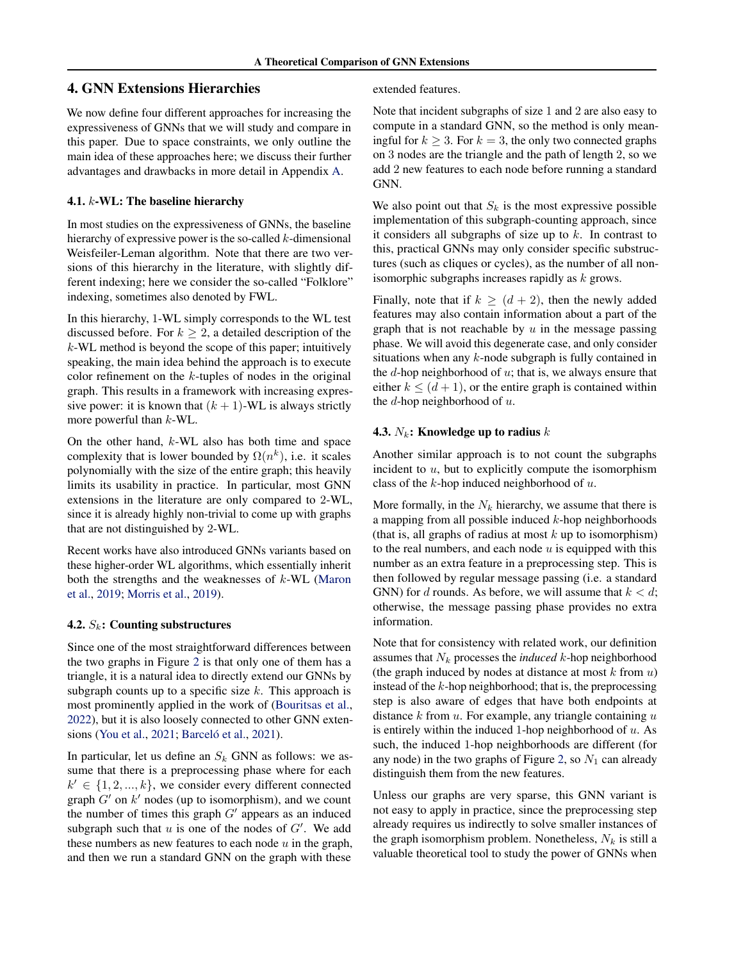# <span id="page-3-0"></span>4. GNN Extensions Hierarchies

We now define four different approaches for increasing the expressiveness of GNNs that we will study and compare in this paper. Due to space constraints, we only outline the main idea of these approaches here; we discuss their further advantages and drawbacks in more detail in Appendix [A.](#page-11-0)

### 4.1. k-WL: The baseline hierarchy

In most studies on the expressiveness of GNNs, the baseline hierarchy of expressive power is the so-called  $k$ -dimensional Weisfeiler-Leman algorithm. Note that there are two versions of this hierarchy in the literature, with slightly different indexing; here we consider the so-called "Folklore" indexing, sometimes also denoted by FWL.

In this hierarchy, 1-WL simply corresponds to the WL test discussed before. For  $k \geq 2$ , a detailed description of the k-WL method is beyond the scope of this paper; intuitively speaking, the main idea behind the approach is to execute color refinement on the  $k$ -tuples of nodes in the original graph. This results in a framework with increasing expressive power: it is known that  $(k + 1)$ -WL is always strictly more powerful than  $k$ -WL.

On the other hand,  $k$ -WL also has both time and space complexity that is lower bounded by  $\Omega(n^k)$ , i.e. it scales polynomially with the size of the entire graph; this heavily limits its usability in practice. In particular, most GNN extensions in the literature are only compared to 2-WL, since it is already highly non-trivial to come up with graphs that are not distinguished by 2-WL.

Recent works have also introduced GNNs variants based on these higher-order WL algorithms, which essentially inherit both the strengths and the weaknesses of  $k$ -WL [\(Maron](#page-9-11) [et al.,](#page-9-11) [2019;](#page-9-11) [Morris et al.,](#page-9-10) [2019\)](#page-9-10).

### 4.2.  $S_k$ : Counting substructures

Since one of the most straightforward differences between the two graphs in Figure [2](#page-2-1) is that only one of them has a triangle, it is a natural idea to directly extend our GNNs by subgraph counts up to a specific size  $k$ . This approach is most prominently applied in the work of [\(Bouritsas et al.,](#page-9-2) [2022\)](#page-9-2), but it is also loosely connected to other GNN exten-sions [\(You et al.,](#page-10-8) [2021;](#page-10-8) Barceló et al., [2021\)](#page-9-12).

In particular, let us define an  $S_k$  GNN as follows: we assume that there is a preprocessing phase where for each  $k' \in \{1, 2, ..., k\}$ , we consider every different connected graph  $G'$  on  $k'$  nodes (up to isomorphism), and we count the number of times this graph  $G'$  appears as an induced subgraph such that  $u$  is one of the nodes of  $G'$ . We add these numbers as new features to each node  $u$  in the graph, and then we run a standard GNN on the graph with these

extended features.

Note that incident subgraphs of size 1 and 2 are also easy to compute in a standard GNN, so the method is only meaningful for  $k \geq 3$ . For  $k = 3$ , the only two connected graphs on 3 nodes are the triangle and the path of length 2, so we add 2 new features to each node before running a standard GNN.

We also point out that  $S_k$  is the most expressive possible implementation of this subgraph-counting approach, since it considers all subgraphs of size up to  $k$ . In contrast to this, practical GNNs may only consider specific substructures (such as cliques or cycles), as the number of all nonisomorphic subgraphs increases rapidly as k grows.

Finally, note that if  $k \ge (d+2)$ , then the newly added features may also contain information about a part of the graph that is not reachable by  $u$  in the message passing phase. We will avoid this degenerate case, and only consider situations when any k-node subgraph is fully contained in the  $d$ -hop neighborhood of  $u$ ; that is, we always ensure that either  $k \leq (d+1)$ , or the entire graph is contained within the  $d$ -hop neighborhood of  $u$ .

#### 4.3.  $N_k$ : Knowledge up to radius  $k$

Another similar approach is to not count the subgraphs incident to  $u$ , but to explicitly compute the isomorphism class of the  $k$ -hop induced neighborhood of  $u$ .

More formally, in the  $N_k$  hierarchy, we assume that there is a mapping from all possible induced  $k$ -hop neighborhoods (that is, all graphs of radius at most  $k$  up to isomorphism) to the real numbers, and each node  $u$  is equipped with this number as an extra feature in a preprocessing step. This is then followed by regular message passing (i.e. a standard GNN) for d rounds. As before, we will assume that  $k < d$ ; otherwise, the message passing phase provides no extra information.

Note that for consistency with related work, our definition assumes that  $N_k$  processes the *induced* k-hop neighborhood (the graph induced by nodes at distance at most  $k$  from  $u$ ) instead of the  $k$ -hop neighborhood; that is, the preprocessing step is also aware of edges that have both endpoints at distance  $k$  from  $u$ . For example, any triangle containing  $u$ is entirely within the induced 1-hop neighborhood of  $u$ . As such, the induced 1-hop neighborhoods are different (for any node) in the two graphs of Figure [2,](#page-2-1) so  $N_1$  can already distinguish them from the new features.

Unless our graphs are very sparse, this GNN variant is not easy to apply in practice, since the preprocessing step already requires us indirectly to solve smaller instances of the graph isomorphism problem. Nonetheless,  $N_k$  is still a valuable theoretical tool to study the power of GNNs when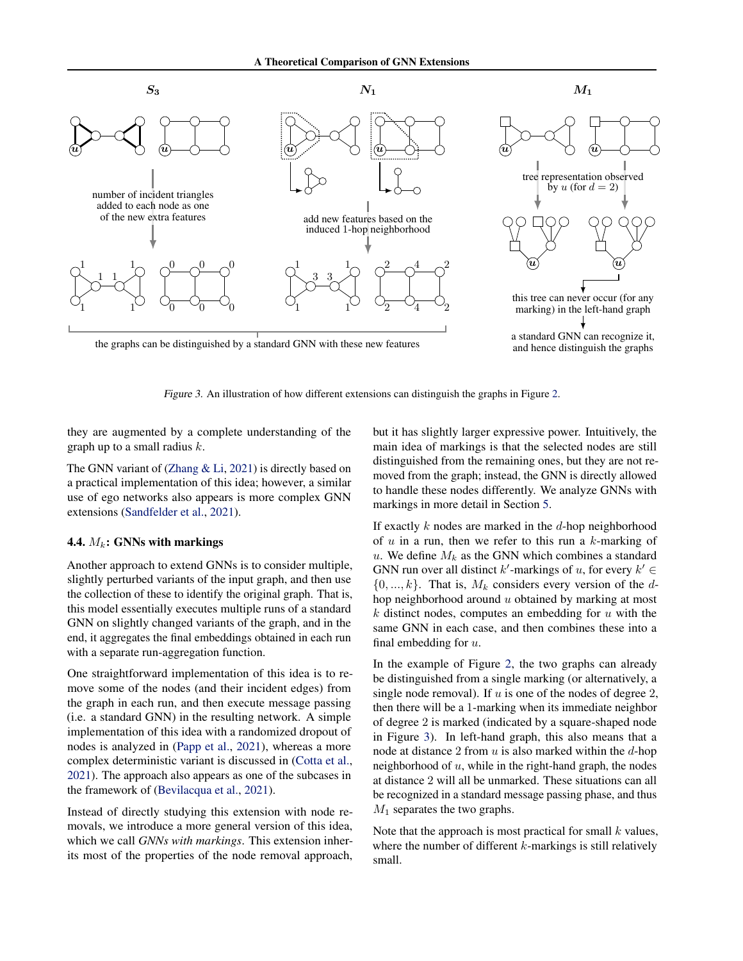

Figure 3. An illustration of how different extensions can distinguish the graphs in Figure [2.](#page-2-1)

they are augmented by a complete understanding of the graph up to a small radius  $k$ .

The GNN variant of [\(Zhang & Li,](#page-10-9) [2021\)](#page-10-9) is directly based on a practical implementation of this idea; however, a similar use of ego networks also appears is more complex GNN extensions [\(Sandfelder et al.,](#page-10-10) [2021\)](#page-10-10).

#### 4.4.  $M_k$ : GNNs with markings

Another approach to extend GNNs is to consider multiple, slightly perturbed variants of the input graph, and then use the collection of these to identify the original graph. That is, this model essentially executes multiple runs of a standard GNN on slightly changed variants of the graph, and in the end, it aggregates the final embeddings obtained in each run with a separate run-aggregation function.

One straightforward implementation of this idea is to remove some of the nodes (and their incident edges) from the graph in each run, and then execute message passing (i.e. a standard GNN) in the resulting network. A simple implementation of this idea with a randomized dropout of nodes is analyzed in [\(Papp et al.,](#page-9-13) [2021\)](#page-9-13), whereas a more complex deterministic variant is discussed in [\(Cotta et al.,](#page-9-4) [2021\)](#page-9-4). The approach also appears as one of the subcases in the framework of [\(Bevilacqua et al.,](#page-9-14) [2021\)](#page-9-14).

Instead of directly studying this extension with node removals, we introduce a more general version of this idea, which we call *GNNs with markings*. This extension inherits most of the properties of the node removal approach, <span id="page-4-0"></span>but it has slightly larger expressive power. Intuitively, the main idea of markings is that the selected nodes are still distinguished from the remaining ones, but they are not removed from the graph; instead, the GNN is directly allowed to handle these nodes differently. We analyze GNNs with markings in more detail in Section [5.](#page-5-0)

If exactly  $k$  nodes are marked in the  $d$ -hop neighborhood of  $u$  in a run, then we refer to this run a  $k$ -marking of u. We define  $M_k$  as the GNN which combines a standard GNN run over all distinct  $k'$ -markings of u, for every  $k' \in$  $\{0, ..., k\}$ . That is,  $M_k$  considers every version of the dhop neighborhood around u obtained by marking at most  $k$  distinct nodes, computes an embedding for  $u$  with the same GNN in each case, and then combines these into a final embedding for  $u$ .

In the example of Figure [2,](#page-2-1) the two graphs can already be distinguished from a single marking (or alternatively, a single node removal). If  $u$  is one of the nodes of degree 2, then there will be a 1-marking when its immediate neighbor of degree 2 is marked (indicated by a square-shaped node in Figure [3\)](#page-4-0). In left-hand graph, this also means that a node at distance 2 from  $u$  is also marked within the  $d$ -hop neighborhood of  $u$ , while in the right-hand graph, the nodes at distance 2 will all be unmarked. These situations can all be recognized in a standard message passing phase, and thus  $M_1$  separates the two graphs.

Note that the approach is most practical for small  $k$  values, where the number of different  $k$ -markings is still relatively small.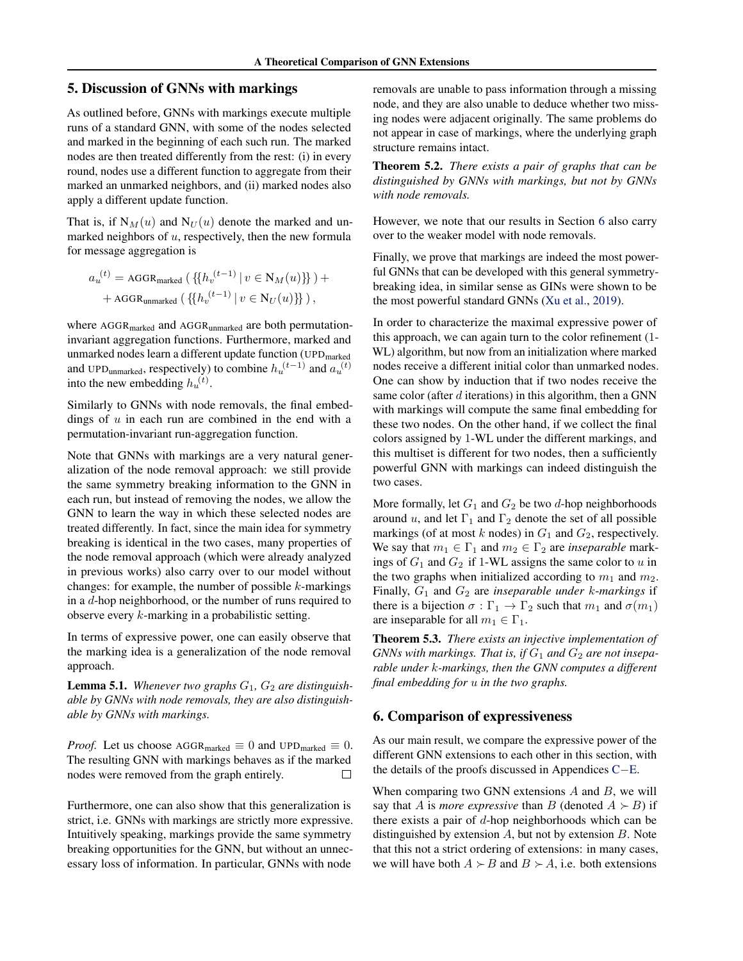# <span id="page-5-0"></span>5. Discussion of GNNs with markings

As outlined before, GNNs with markings execute multiple runs of a standard GNN, with some of the nodes selected and marked in the beginning of each such run. The marked nodes are then treated differently from the rest: (i) in every round, nodes use a different function to aggregate from their marked an unmarked neighbors, and (ii) marked nodes also apply a different update function.

That is, if  $N_M(u)$  and  $N_U(u)$  denote the marked and unmarked neighbors of  $u$ , respectively, then the new formula for message aggregation is

$$
a_u^{(t)} = \text{AGGR}_{\text{marked}} \left( \left\{ \{ h_v^{(t-1)} \mid v \in N_M(u) \} \right\} \right) +
$$
  
+ 
$$
\text{AGGR}_{\text{unmarked}} \left( \left\{ \{ h_v^{(t-1)} \mid v \in N_U(u) \} \right\} \right),
$$

where AGGR<sub>marked</sub> and AGGR<sub>unmarked</sub> are both permutationinvariant aggregation functions. Furthermore, marked and unmarked nodes learn a different update function (UPD<sub>marked</sub> and UPD<sub>unmarked</sub>, respectively) to combine  $h_u^{(t-1)}$  and  $a_u^{(t)}$ into the new embedding  $h_u^{(t)}$ .

Similarly to GNNs with node removals, the final embeddings of  $u$  in each run are combined in the end with a permutation-invariant run-aggregation function.

Note that GNNs with markings are a very natural generalization of the node removal approach: we still provide the same symmetry breaking information to the GNN in each run, but instead of removing the nodes, we allow the GNN to learn the way in which these selected nodes are treated differently. In fact, since the main idea for symmetry breaking is identical in the two cases, many properties of the node removal approach (which were already analyzed in previous works) also carry over to our model without changes: for example, the number of possible  $k$ -markings in a d-hop neighborhood, or the number of runs required to observe every k-marking in a probabilistic setting.

In terms of expressive power, one can easily observe that the marking idea is a generalization of the node removal approach.

**Lemma 5.1.** Whenever two graphs  $G_1$ ,  $G_2$  are distinguish*able by GNNs with node removals, they are also distinguishable by GNNs with markings.*

*Proof.* Let us choose  $\text{AGGR}_{\text{marked}} \equiv 0$  and  $\text{UPD}_{\text{marked}} \equiv 0$ . The resulting GNN with markings behaves as if the marked nodes were removed from the graph entirely.  $\Box$ 

Furthermore, one can also show that this generalization is strict, i.e. GNNs with markings are strictly more expressive. Intuitively speaking, markings provide the same symmetry breaking opportunities for the GNN, but without an unnecessary loss of information. In particular, GNNs with node

removals are unable to pass information through a missing node, and they are also unable to deduce whether two missing nodes were adjacent originally. The same problems do not appear in case of markings, where the underlying graph structure remains intact.

<span id="page-5-2"></span>Theorem 5.2. *There exists a pair of graphs that can be distinguished by GNNs with markings, but not by GNNs with node removals.*

However, we note that our results in Section [6](#page-5-1) also carry over to the weaker model with node removals.

Finally, we prove that markings are indeed the most powerful GNNs that can be developed with this general symmetrybreaking idea, in similar sense as GINs were shown to be the most powerful standard GNNs [\(Xu et al.,](#page-10-7) [2019\)](#page-10-7).

In order to characterize the maximal expressive power of this approach, we can again turn to the color refinement (1- WL) algorithm, but now from an initialization where marked nodes receive a different initial color than unmarked nodes. One can show by induction that if two nodes receive the same color (after  $d$  iterations) in this algorithm, then a GNN with markings will compute the same final embedding for these two nodes. On the other hand, if we collect the final colors assigned by 1-WL under the different markings, and this multiset is different for two nodes, then a sufficiently powerful GNN with markings can indeed distinguish the two cases.

More formally, let  $G_1$  and  $G_2$  be two d-hop neighborhoods around u, and let  $\Gamma_1$  and  $\Gamma_2$  denote the set of all possible markings (of at most k nodes) in  $G_1$  and  $G_2$ , respectively. We say that  $m_1 \in \Gamma_1$  and  $m_2 \in \Gamma_2$  are *inseparable* markings of  $G_1$  and  $G_2$  if 1-WL assigns the same color to u in the two graphs when initialized according to  $m_1$  and  $m_2$ . Finally, G<sup>1</sup> and G<sup>2</sup> are *inseparable under* k-*markings* if there is a bijection  $\sigma : \Gamma_1 \to \Gamma_2$  such that  $m_1$  and  $\sigma(m_1)$ are inseparable for all  $m_1 \in \Gamma_1$ .

<span id="page-5-3"></span>Theorem 5.3. *There exists an injective implementation of GNNs with markings. That is, if*  $G_1$  *and*  $G_2$  *are not inseparable under* k*-markings, then the GNN computes a different final embedding for* u *in the two graphs.*

## <span id="page-5-1"></span>6. Comparison of expressiveness

As our main result, we compare the expressive power of the different GNN extensions to each other in this section, with the details of the proofs discussed in Appendices [C](#page-14-0)−[E.](#page-18-0)

When comparing two GNN extensions  $A$  and  $B$ , we will say that A is *more expressive* than B (denoted  $A \succ B$ ) if there exists a pair of  $d$ -hop neighborhoods which can be distinguished by extension  $A$ , but not by extension  $B$ . Note that this not a strict ordering of extensions: in many cases, we will have both  $A \succ B$  and  $B \succ A$ , i.e. both extensions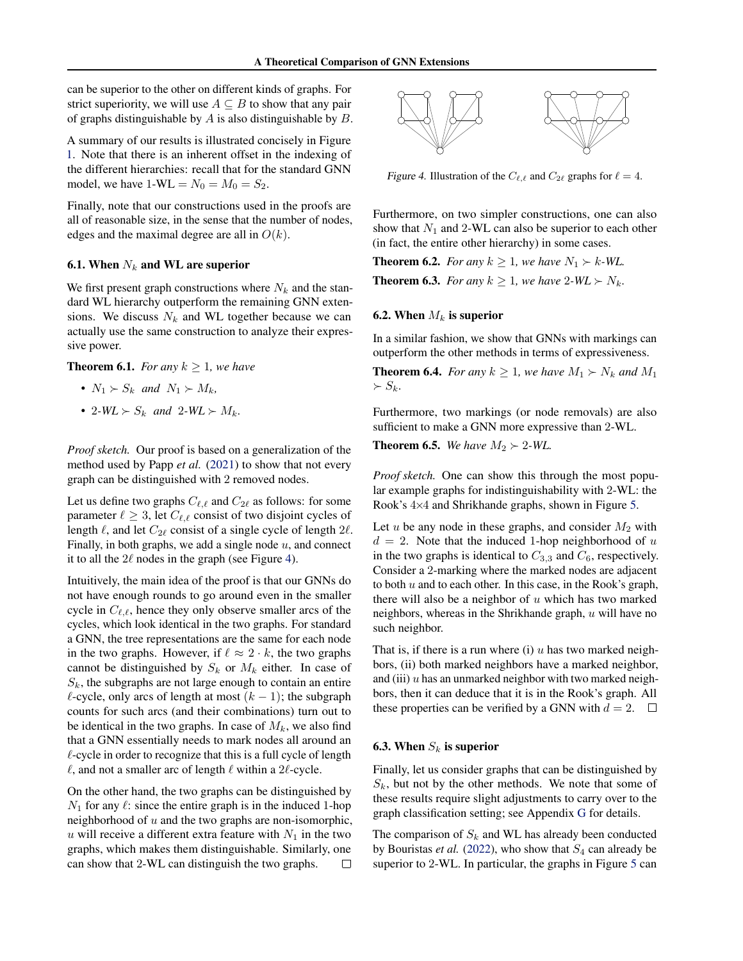can be superior to the other on different kinds of graphs. For strict superiority, we will use  $A \subseteq B$  to show that any pair of graphs distinguishable by  $A$  is also distinguishable by  $B$ .

A summary of our results is illustrated concisely in Figure [1.](#page-1-0) Note that there is an inherent offset in the indexing of the different hierarchies: recall that for the standard GNN model, we have  $1-WL = N_0 = M_0 = S_2$ .

Finally, note that our constructions used in the proofs are all of reasonable size, in the sense that the number of nodes, edges and the maximal degree are all in  $O(k)$ .

#### <span id="page-6-2"></span>6.1. When  $N_k$  and WL are superior

We first present graph constructions where  $N_k$  and the standard WL hierarchy outperform the remaining GNN extensions. We discuss  $N_k$  and WL together because we can actually use the same construction to analyze their expressive power.

<span id="page-6-1"></span>**Theorem 6.1.** *For any*  $k \geq 1$ *, we have* 

- $N_1 \succ S_k$  *and*  $N_1 \succ M_k$ *,*
- 2*-WL*  $\succ S_k$  *and* 2*-WL*  $\succ M_k$ *.*

*Proof sketch.* Our proof is based on a generalization of the method used by Papp *et al.* [\(2021\)](#page-9-13) to show that not every graph can be distinguished with 2 removed nodes.

Let us define two graphs  $C_{\ell,\ell}$  and  $C_{2\ell}$  as follows: for some parameter  $\ell \geq 3$ , let  $C_{\ell,\ell}$  consist of two disjoint cycles of length  $\ell$ , and let  $C_{2\ell}$  consist of a single cycle of length  $2\ell$ . Finally, in both graphs, we add a single node  $u$ , and connect it to all the  $2\ell$  nodes in the graph (see Figure [4\)](#page-6-0).

Intuitively, the main idea of the proof is that our GNNs do not have enough rounds to go around even in the smaller cycle in  $C_{\ell,\ell}$ , hence they only observe smaller arcs of the cycles, which look identical in the two graphs. For standard a GNN, the tree representations are the same for each node in the two graphs. However, if  $\ell \approx 2 \cdot k$ , the two graphs cannot be distinguished by  $S_k$  or  $M_k$  either. In case of  $S_k$ , the subgraphs are not large enough to contain an entire  $\ell$ -cycle, only arcs of length at most  $(k-1)$ ; the subgraph counts for such arcs (and their combinations) turn out to be identical in the two graphs. In case of  $M_k$ , we also find that a GNN essentially needs to mark nodes all around an  $\ell$ -cycle in order to recognize that this is a full cycle of length  $\ell$ , and not a smaller arc of length  $\ell$  within a 2 $\ell$ -cycle.

On the other hand, the two graphs can be distinguished by  $N_1$  for any  $\ell$ : since the entire graph is in the induced 1-hop neighborhood of  $u$  and the two graphs are non-isomorphic, u will receive a different extra feature with  $N_1$  in the two graphs, which makes them distinguishable. Similarly, one can show that 2-WL can distinguish the two graphs. □



<span id="page-6-0"></span>Figure 4. Illustration of the  $C_{\ell,\ell}$  and  $C_{2\ell}$  graphs for  $\ell = 4$ .

Furthermore, on two simpler constructions, one can also show that  $N_1$  and 2-WL can also be superior to each other (in fact, the entire other hierarchy) in some cases.

<span id="page-6-5"></span><span id="page-6-4"></span>**Theorem 6.2.** *For any*  $k > 1$ *, we have*  $N_1 \succ k$ *-WL.* **Theorem 6.3.** *For any*  $k \geq 1$ *, we have*  $2-WL \succ N_k$ *.* 

#### 6.2. When  $M_k$  is superior

In a similar fashion, we show that GNNs with markings can outperform the other methods in terms of expressiveness.

<span id="page-6-6"></span>**Theorem 6.4.** *For any*  $k \geq 1$ *, we have*  $M_1 \succ N_k$  *and*  $M_1$  $\succ S_k$ .

Furthermore, two markings (or node removals) are also sufficient to make a GNN more expressive than 2-WL.

<span id="page-6-7"></span>**Theorem 6.5.** *We have*  $M_2 \succ 2$ *-WL.* 

*Proof sketch.* One can show this through the most popular example graphs for indistinguishability with 2-WL: the Rook's 4×4 and Shrikhande graphs, shown in Figure [5.](#page-7-0)

Let u be any node in these graphs, and consider  $M_2$  with  $d = 2$ . Note that the induced 1-hop neighborhood of u in the two graphs is identical to  $C_{3,3}$  and  $C_6$ , respectively. Consider a 2-marking where the marked nodes are adjacent to both  $u$  and to each other. In this case, in the Rook's graph, there will also be a neighbor of  $u$  which has two marked neighbors, whereas in the Shrikhande graph,  $u$  will have no such neighbor.

That is, if there is a run where (i) u has two marked neighbors, (ii) both marked neighbors have a marked neighbor, and (iii)  $u$  has an unmarked neighbor with two marked neighbors, then it can deduce that it is in the Rook's graph. All these properties can be verified by a GNN with  $d = 2$ .  $\Box$ 

### <span id="page-6-3"></span>6.3. When  $S_k$  is superior

Finally, let us consider graphs that can be distinguished by  $S_k$ , but not by the other methods. We note that some of these results require slight adjustments to carry over to the graph classification setting; see Appendix [G](#page-21-0) for details.

The comparison of  $S_k$  and WL has already been conducted by Bouristas *et al.* [\(2022\)](#page-9-2), who show that  $S_4$  can already be superior to 2-WL. In particular, the graphs in Figure [5](#page-7-0) can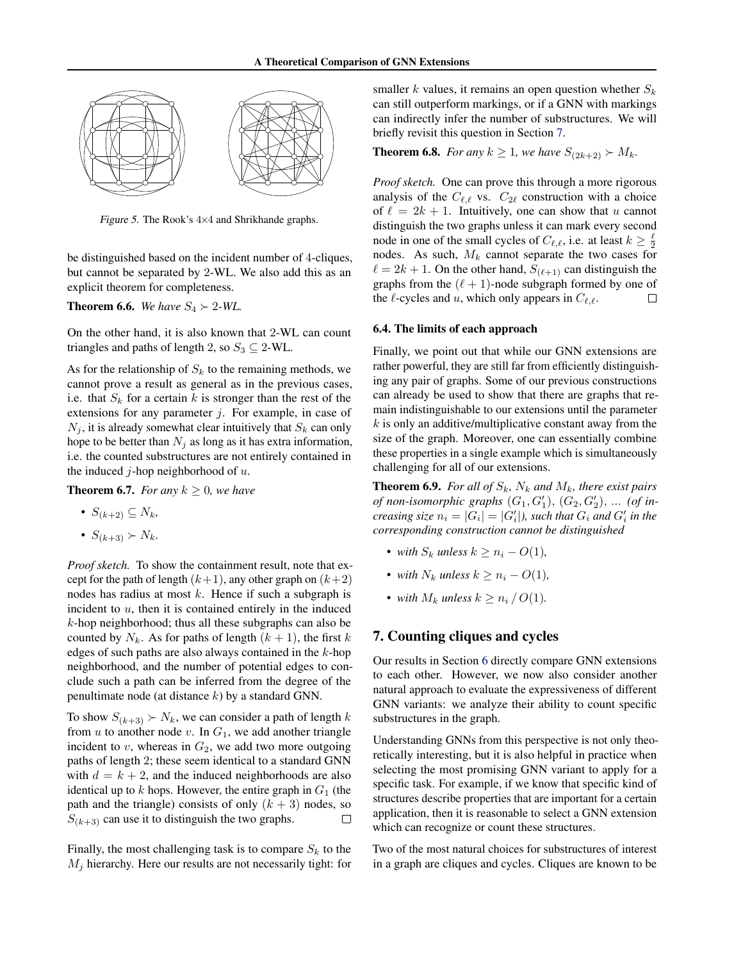

Figure 5. The Rook's 4×4 and Shrikhande graphs.

be distinguished based on the incident number of 4-cliques, but cannot be separated by 2-WL. We also add this as an explicit theorem for completeness.

<span id="page-7-5"></span>**Theorem 6.6.** *We have*  $S_4 \succ 2$ *-WL.* 

On the other hand, it is also known that 2-WL can count triangles and paths of length 2, so  $S_3 \subseteq 2$ -WL.

As for the relationship of  $S_k$  to the remaining methods, we cannot prove a result as general as in the previous cases, i.e. that  $S_k$  for a certain k is stronger than the rest of the extensions for any parameter  $j$ . For example, in case of  $N_i$ , it is already somewhat clear intuitively that  $S_k$  can only hope to be better than  $N_j$  as long as it has extra information, i.e. the counted substructures are not entirely contained in the induced *j*-hop neighborhood of  $u$ .

<span id="page-7-3"></span>**Theorem 6.7.** *For any*  $k > 0$ *, we have* 

- $S_{(k+2)} \subseteq N_k$
- $S_{(k+3)} \succ N_k$ .

*Proof sketch.* To show the containment result, note that except for the path of length  $(k+1)$ , any other graph on  $(k+2)$ nodes has radius at most  $k$ . Hence if such a subgraph is incident to  $u$ , then it is contained entirely in the induced  $k$ -hop neighborhood; thus all these subgraphs can also be counted by  $N_k$ . As for paths of length  $(k + 1)$ , the first k edges of such paths are also always contained in the  $k$ -hop neighborhood, and the number of potential edges to conclude such a path can be inferred from the degree of the penultimate node (at distance  $k$ ) by a standard GNN.

To show  $S_{(k+3)}$  ≻  $N_k$ , we can consider a path of length k from  $u$  to another node  $v$ . In  $G_1$ , we add another triangle incident to  $v$ , whereas in  $G_2$ , we add two more outgoing paths of length 2; these seem identical to a standard GNN with  $d = k + 2$ , and the induced neighborhoods are also identical up to k hops. However, the entire graph in  $G_1$  (the path and the triangle) consists of only  $(k + 3)$  nodes, so  $S_{(k+3)}$  can use it to distinguish the two graphs.  $\Box$ 

Finally, the most challenging task is to compare  $S_k$  to the  $M_i$  hierarchy. Here our results are not necessarily tight: for smaller k values, it remains an open question whether  $S_k$ can still outperform markings, or if a GNN with markings can indirectly infer the number of substructures. We will briefly revisit this question in Section [7.](#page-7-1)

<span id="page-7-2"></span>**Theorem 6.8.** *For any*  $k \ge 1$ *, we have*  $S_{(2k+2)} \succ M_k$ *.* 

<span id="page-7-0"></span>*Proof sketch.* One can prove this through a more rigorous analysis of the  $C_{\ell,\ell}$  vs.  $C_{2\ell}$  construction with a choice of  $\ell = 2k + 1$ . Intuitively, one can show that u cannot distinguish the two graphs unless it can mark every second node in one of the small cycles of  $C_{\ell,\ell}$ , i.e. at least  $k \geq \frac{\ell}{2}$ nodes. As such,  $M_k$  cannot separate the two cases for  $\ell = 2k + 1$ . On the other hand,  $S_{(\ell+1)}$  can distinguish the graphs from the  $(\ell + 1)$ -node subgraph formed by one of the  $\ell$ -cycles and  $u$ , which only appears in  $C_{\ell,\ell}$ .  $\Box$ 

#### 6.4. The limits of each approach

Finally, we point out that while our GNN extensions are rather powerful, they are still far from efficiently distinguishing any pair of graphs. Some of our previous constructions can already be used to show that there are graphs that remain indistinguishable to our extensions until the parameter  $k$  is only an additive/multiplicative constant away from the size of the graph. Moreover, one can essentially combine these properties in a single example which is simultaneously challenging for all of our extensions.

<span id="page-7-4"></span>**Theorem 6.9.** *For all of*  $S_k$ *,*  $N_k$  *and*  $M_k$ *, there exist pairs of non-isomorphic graphs*  $(G_1, G'_1), (G_2, G'_2), ...$  *(of in* $c$ *reasing size*  $n_i = |G_i| = |G'_i|$ ), such that  $G_i$  and  $G'_i$  in the *corresponding construction cannot be distinguished*

- *with*  $S_k$  *unless*  $k > n_i O(1)$ ,
- *with*  $N_k$  *unless*  $k > n_i O(1)$ ,
- *with*  $M_k$  *unless*  $k \geq n_i / O(1)$ *.*

# <span id="page-7-1"></span>7. Counting cliques and cycles

Our results in Section [6](#page-5-1) directly compare GNN extensions to each other. However, we now also consider another natural approach to evaluate the expressiveness of different GNN variants: we analyze their ability to count specific substructures in the graph.

Understanding GNNs from this perspective is not only theoretically interesting, but it is also helpful in practice when selecting the most promising GNN variant to apply for a specific task. For example, if we know that specific kind of structures describe properties that are important for a certain application, then it is reasonable to select a GNN extension which can recognize or count these structures.

Two of the most natural choices for substructures of interest in a graph are cliques and cycles. Cliques are known to be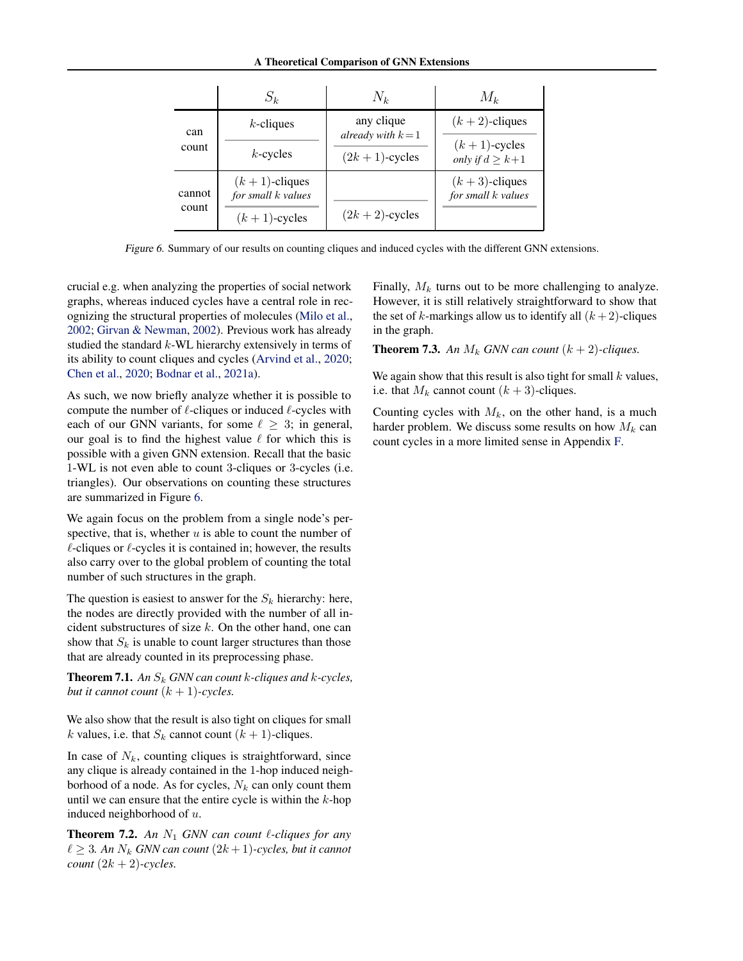#### A Theoretical Comparison of GNN Extensions

|                 | $S_k$                                  | $N_k$                                                | $M_k$                                   |
|-----------------|----------------------------------------|------------------------------------------------------|-----------------------------------------|
| can<br>count    | $k$ -cliques                           | any clique<br>already with $k=1$<br>$(2k+1)$ -cycles | $(k+2)$ -cliques                        |
|                 | $k$ -cycles                            |                                                      | $(k+1)$ -cycles<br>only if $d \geq k+1$ |
| cannot<br>count | $(k+1)$ -cliques<br>for small k values |                                                      | $(k+3)$ -cliques<br>for small k values  |
|                 | $(k+1)$ -cycles                        | $(2k+2)$ -cycles                                     |                                         |

Figure 6. Summary of our results on counting cliques and induced cycles with the different GNN extensions.

crucial e.g. when analyzing the properties of social network graphs, whereas induced cycles have a central role in recognizing the structural properties of molecules [\(Milo et al.,](#page-9-15) [2002;](#page-9-15) [Girvan & Newman,](#page-9-16) [2002\)](#page-9-16). Previous work has already studied the standard  $k$ -WL hierarchy extensively in terms of its ability to count cliques and cycles [\(Arvind et al.,](#page-9-17) [2020;](#page-9-17) [Chen et al.,](#page-9-18) [2020;](#page-9-18) [Bodnar et al.,](#page-9-19) [2021a\)](#page-9-19).

As such, we now briefly analyze whether it is possible to compute the number of  $\ell$ -cliques or induced  $\ell$ -cycles with each of our GNN variants, for some  $\ell \geq 3$ ; in general, our goal is to find the highest value  $\ell$  for which this is possible with a given GNN extension. Recall that the basic 1-WL is not even able to count 3-cliques or 3-cycles (i.e. triangles). Our observations on counting these structures are summarized in Figure [6.](#page-8-0)

We again focus on the problem from a single node's perspective, that is, whether  $u$  is able to count the number of  $\ell$ -cliques or  $\ell$ -cycles it is contained in; however, the results also carry over to the global problem of counting the total number of such structures in the graph.

The question is easiest to answer for the  $S_k$  hierarchy: here, the nodes are directly provided with the number of all incident substructures of size  $k$ . On the other hand, one can show that  $S_k$  is unable to count larger structures than those that are already counted in its preprocessing phase.

<span id="page-8-1"></span>**Theorem 7.1.** An  $S_k$  GNN can count k-cliques and k-cycles, *but it cannot count*  $(k + 1)$ *-cycles.* 

We also show that the result is also tight on cliques for small k values, i.e. that  $S_k$  cannot count  $(k + 1)$ -cliques.

In case of  $N_k$ , counting cliques is straightforward, since any clique is already contained in the 1-hop induced neighborhood of a node. As for cycles,  $N_k$  can only count them until we can ensure that the entire cycle is within the  $k$ -hop induced neighborhood of u.

<span id="page-8-2"></span>**Theorem 7.2.** An  $N_1$  GNN can count  $\ell$ -cliques for any  $\ell \geq 3$ . An  $N_k$  GNN can count  $(2k+1)$ -cycles, but it cannot *count*  $(2k + 2)$ *-cycles.* 

<span id="page-8-0"></span>Finally,  $M_k$  turns out to be more challenging to analyze. However, it is still relatively straightforward to show that the set of k-markings allow us to identify all  $(k+2)$ -cliques in the graph.

<span id="page-8-3"></span>**Theorem 7.3.** An  $M_k$  GNN can count  $(k + 2)$ -cliques.

We again show that this result is also tight for small  $k$  values, i.e. that  $M_k$  cannot count  $(k + 3)$ -cliques.

Counting cycles with  $M_k$ , on the other hand, is a much harder problem. We discuss some results on how  $M_k$  can count cycles in a more limited sense in Appendix [F.](#page-20-0)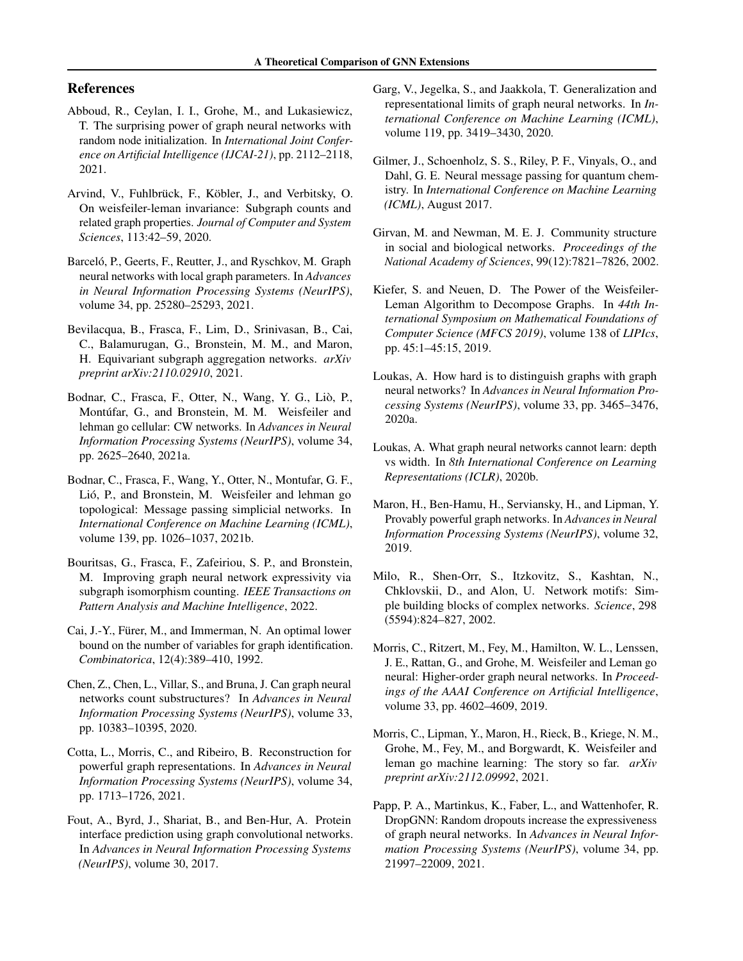# References

- <span id="page-9-8"></span>Abboud, R., Ceylan, I. I., Grohe, M., and Lukasiewicz, T. The surprising power of graph neural networks with random node initialization. In *International Joint Conference on Artificial Intelligence (IJCAI-21)*, pp. 2112–2118, 2021.
- <span id="page-9-17"></span>Arvind, V., Fuhlbrück, F., Köbler, J., and Verbitsky, O. On weisfeiler-leman invariance: Subgraph counts and related graph properties. *Journal of Computer and System Sciences*, 113:42–59, 2020.
- <span id="page-9-12"></span>Barceló, P., Geerts, F., Reutter, J., and Ryschkov, M. Graph neural networks with local graph parameters. In *Advances in Neural Information Processing Systems (NeurIPS)*, volume 34, pp. 25280–25293, 2021.
- <span id="page-9-14"></span>Bevilacqua, B., Frasca, F., Lim, D., Srinivasan, B., Cai, C., Balamurugan, G., Bronstein, M. M., and Maron, H. Equivariant subgraph aggregation networks. *arXiv preprint arXiv:2110.02910*, 2021.
- <span id="page-9-19"></span>Bodnar, C., Frasca, F., Otter, N., Wang, Y. G., Lio, P., ` Montúfar, G., and Bronstein, M. M. Weisfeiler and lehman go cellular: CW networks. In *Advances in Neural Information Processing Systems (NeurIPS)*, volume 34, pp. 2625–2640, 2021a.
- <span id="page-9-3"></span>Bodnar, C., Frasca, F., Wang, Y., Otter, N., Montufar, G. F., Lió, P., and Bronstein, M. Weisfeiler and lehman go topological: Message passing simplicial networks. In *International Conference on Machine Learning (ICML)*, volume 139, pp. 1026–1037, 2021b.
- <span id="page-9-2"></span>Bouritsas, G., Frasca, F., Zafeiriou, S. P., and Bronstein, M. Improving graph neural network expressivity via subgraph isomorphism counting. *IEEE Transactions on Pattern Analysis and Machine Intelligence*, 2022.
- <span id="page-9-21"></span>Cai, J.-Y., Fürer, M., and Immerman, N. An optimal lower bound on the number of variables for graph identification. *Combinatorica*, 12(4):389–410, 1992.
- <span id="page-9-18"></span>Chen, Z., Chen, L., Villar, S., and Bruna, J. Can graph neural networks count substructures? In *Advances in Neural Information Processing Systems (NeurIPS)*, volume 33, pp. 10383–10395, 2020.
- <span id="page-9-4"></span>Cotta, L., Morris, C., and Ribeiro, B. Reconstruction for powerful graph representations. In *Advances in Neural Information Processing Systems (NeurIPS)*, volume 34, pp. 1713–1726, 2021.
- <span id="page-9-1"></span>Fout, A., Byrd, J., Shariat, B., and Ben-Hur, A. Protein interface prediction using graph convolutional networks. In *Advances in Neural Information Processing Systems (NeurIPS)*, volume 30, 2017.
- <span id="page-9-5"></span>Garg, V., Jegelka, S., and Jaakkola, T. Generalization and representational limits of graph neural networks. In *International Conference on Machine Learning (ICML)*, volume 119, pp. 3419–3430, 2020.
- <span id="page-9-0"></span>Gilmer, J., Schoenholz, S. S., Riley, P. F., Vinyals, O., and Dahl, G. E. Neural message passing for quantum chemistry. In *International Conference on Machine Learning (ICML)*, August 2017.
- <span id="page-9-16"></span>Girvan, M. and Newman, M. E. J. Community structure in social and biological networks. *Proceedings of the National Academy of Sciences*, 99(12):7821–7826, 2002.
- <span id="page-9-20"></span>Kiefer, S. and Neuen, D. The Power of the Weisfeiler-Leman Algorithm to Decompose Graphs. In *44th International Symposium on Mathematical Foundations of Computer Science (MFCS 2019)*, volume 138 of *LIPIcs*, pp. 45:1–45:15, 2019.
- <span id="page-9-6"></span>Loukas, A. How hard is to distinguish graphs with graph neural networks? In *Advances in Neural Information Processing Systems (NeurIPS)*, volume 33, pp. 3465–3476, 2020a.
- <span id="page-9-7"></span>Loukas, A. What graph neural networks cannot learn: depth vs width. In *8th International Conference on Learning Representations (ICLR)*, 2020b.
- <span id="page-9-11"></span>Maron, H., Ben-Hamu, H., Serviansky, H., and Lipman, Y. Provably powerful graph networks. In *Advances in Neural Information Processing Systems (NeurIPS)*, volume 32, 2019.
- <span id="page-9-15"></span>Milo, R., Shen-Orr, S., Itzkovitz, S., Kashtan, N., Chklovskii, D., and Alon, U. Network motifs: Simple building blocks of complex networks. *Science*, 298 (5594):824–827, 2002.
- <span id="page-9-10"></span>Morris, C., Ritzert, M., Fey, M., Hamilton, W. L., Lenssen, J. E., Rattan, G., and Grohe, M. Weisfeiler and Leman go neural: Higher-order graph neural networks. In *Proceedings of the AAAI Conference on Artificial Intelligence*, volume 33, pp. 4602–4609, 2019.
- <span id="page-9-9"></span>Morris, C., Lipman, Y., Maron, H., Rieck, B., Kriege, N. M., Grohe, M., Fey, M., and Borgwardt, K. Weisfeiler and leman go machine learning: The story so far. *arXiv preprint arXiv:2112.09992*, 2021.
- <span id="page-9-13"></span>Papp, P. A., Martinkus, K., Faber, L., and Wattenhofer, R. DropGNN: Random dropouts increase the expressiveness of graph neural networks. In *Advances in Neural Information Processing Systems (NeurIPS)*, volume 34, pp. 21997–22009, 2021.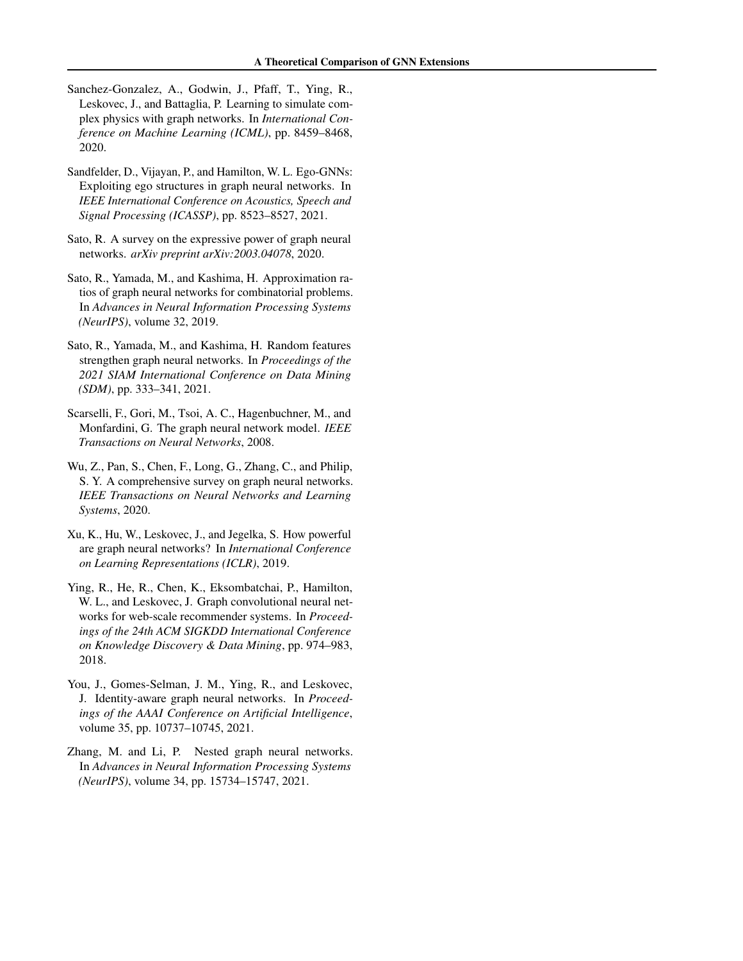- <span id="page-10-1"></span>Sanchez-Gonzalez, A., Godwin, J., Pfaff, T., Ying, R., Leskovec, J., and Battaglia, P. Learning to simulate complex physics with graph networks. In *International Conference on Machine Learning (ICML)*, pp. 8459–8468, 2020.
- <span id="page-10-10"></span>Sandfelder, D., Vijayan, P., and Hamilton, W. L. Ego-GNNs: Exploiting ego structures in graph neural networks. In *IEEE International Conference on Acoustics, Speech and Signal Processing (ICASSP)*, pp. 8523–8527, 2021.
- <span id="page-10-6"></span>Sato, R. A survey on the expressive power of graph neural networks. *arXiv preprint arXiv:2003.04078*, 2020.
- <span id="page-10-5"></span>Sato, R., Yamada, M., and Kashima, H. Approximation ratios of graph neural networks for combinatorial problems. In *Advances in Neural Information Processing Systems (NeurIPS)*, volume 32, 2019.
- <span id="page-10-4"></span>Sato, R., Yamada, M., and Kashima, H. Random features strengthen graph neural networks. In *Proceedings of the 2021 SIAM International Conference on Data Mining (SDM)*, pp. 333–341, 2021.
- <span id="page-10-2"></span>Scarselli, F., Gori, M., Tsoi, A. C., Hagenbuchner, M., and Monfardini, G. The graph neural network model. *IEEE Transactions on Neural Networks*, 2008.
- <span id="page-10-3"></span>Wu, Z., Pan, S., Chen, F., Long, G., Zhang, C., and Philip, S. Y. A comprehensive survey on graph neural networks. *IEEE Transactions on Neural Networks and Learning Systems*, 2020.
- <span id="page-10-7"></span>Xu, K., Hu, W., Leskovec, J., and Jegelka, S. How powerful are graph neural networks? In *International Conference on Learning Representations (ICLR)*, 2019.
- <span id="page-10-0"></span>Ying, R., He, R., Chen, K., Eksombatchai, P., Hamilton, W. L., and Leskovec, J. Graph convolutional neural networks for web-scale recommender systems. In *Proceedings of the 24th ACM SIGKDD International Conference on Knowledge Discovery & Data Mining*, pp. 974–983, 2018.
- <span id="page-10-8"></span>You, J., Gomes-Selman, J. M., Ying, R., and Leskovec, J. Identity-aware graph neural networks. In *Proceedings of the AAAI Conference on Artificial Intelligence*, volume 35, pp. 10737–10745, 2021.
- <span id="page-10-9"></span>Zhang, M. and Li, P. Nested graph neural networks. In *Advances in Neural Information Processing Systems (NeurIPS)*, volume 34, pp. 15734–15747, 2021.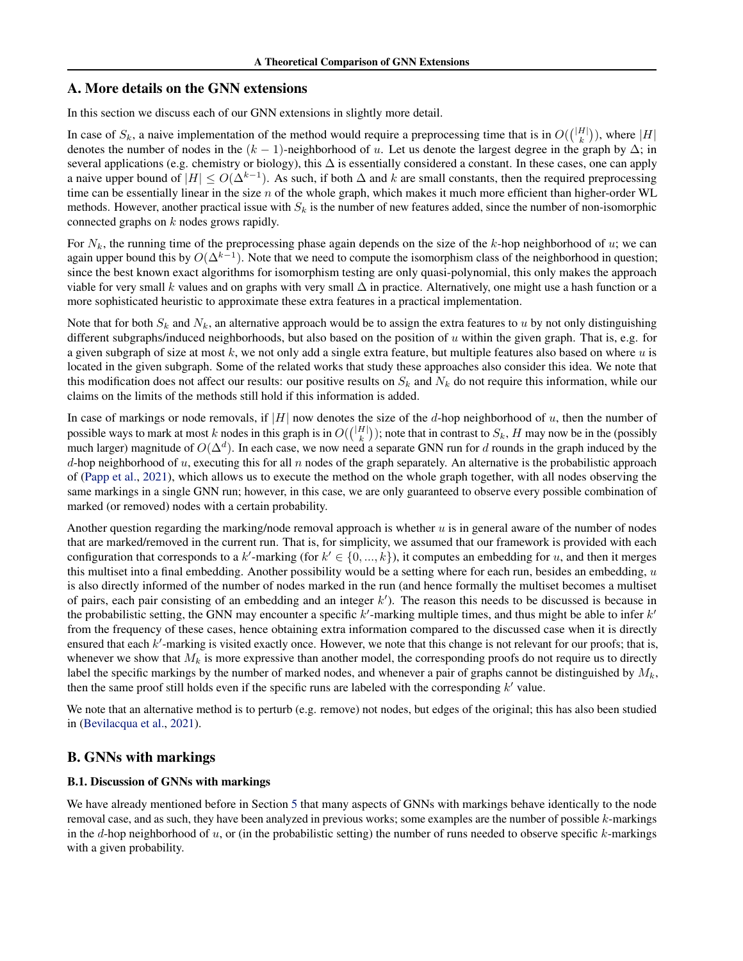# <span id="page-11-0"></span>A. More details on the GNN extensions

In this section we discuss each of our GNN extensions in slightly more detail.

In case of  $S_k$ , a naive implementation of the method would require a preprocessing time that is in  $O({|H| \choose k})$ , where  $|H|$ denotes the number of nodes in the  $(k - 1)$ -neighborhood of u. Let us denote the largest degree in the graph by  $\Delta$ ; in several applications (e.g. chemistry or biology), this  $\Delta$  is essentially considered a constant. In these cases, one can apply a naive upper bound of  $|H| \leq O(\Delta^{k-1})$ . As such, if both  $\Delta$  and  $k$  are small constants, then the required preprocessing time can be essentially linear in the size  $n$  of the whole graph, which makes it much more efficient than higher-order WL methods. However, another practical issue with  $S_k$  is the number of new features added, since the number of non-isomorphic connected graphs on k nodes grows rapidly.

For  $N_k$ , the running time of the preprocessing phase again depends on the size of the k-hop neighborhood of u; we can again upper bound this by  $O(\Delta^{k-1})$ . Note that we need to compute the isomorphism class of the neighborhood in question; since the best known exact algorithms for isomorphism testing are only quasi-polynomial, this only makes the approach viable for very small k values and on graphs with very small  $\Delta$  in practice. Alternatively, one might use a hash function or a more sophisticated heuristic to approximate these extra features in a practical implementation.

Note that for both  $S_k$  and  $N_k$ , an alternative approach would be to assign the extra features to u by not only distinguishing different subgraphs/induced neighborhoods, but also based on the position of u within the given graph. That is, e.g. for a given subgraph of size at most  $k$ , we not only add a single extra feature, but multiple features also based on where  $u$  is located in the given subgraph. Some of the related works that study these approaches also consider this idea. We note that this modification does not affect our results: our positive results on  $S_k$  and  $N_k$  do not require this information, while our claims on the limits of the methods still hold if this information is added.

In case of markings or node removals, if  $|H|$  now denotes the size of the d-hop neighborhood of u, then the number of possible ways to mark at most k nodes in this graph is in  $O({|H| \choose k})$ ; note that in contrast to  $S_k$ , H may now be in the (possibly much larger) magnitude of  $O(\Delta^d)$ . In each case, we now need a separate GNN run for d rounds in the graph induced by the d-hop neighborhood of u, executing this for all n nodes of the graph separately. An alternative is the probabilistic approach of [\(Papp et al.,](#page-9-13) [2021\)](#page-9-13), which allows us to execute the method on the whole graph together, with all nodes observing the same markings in a single GNN run; however, in this case, we are only guaranteed to observe every possible combination of marked (or removed) nodes with a certain probability.

Another question regarding the marking/node removal approach is whether  $u$  is in general aware of the number of nodes that are marked/removed in the current run. That is, for simplicity, we assumed that our framework is provided with each configuration that corresponds to a k'-marking (for  $k' \in \{0, ..., k\}$ ), it computes an embedding for u, and then it merges this multiset into a final embedding. Another possibility would be a setting where for each run, besides an embedding, u is also directly informed of the number of nodes marked in the run (and hence formally the multiset becomes a multiset of pairs, each pair consisting of an embedding and an integer  $k'$ ). The reason this needs to be discussed is because in the probabilistic setting, the GNN may encounter a specific  $k'$ -marking multiple times, and thus might be able to infer  $k'$ from the frequency of these cases, hence obtaining extra information compared to the discussed case when it is directly ensured that each  $k'$ -marking is visited exactly once. However, we note that this change is not relevant for our proofs; that is, whenever we show that  $M_k$  is more expressive than another model, the corresponding proofs do not require us to directly label the specific markings by the number of marked nodes, and whenever a pair of graphs cannot be distinguished by  $M_k$ , then the same proof still holds even if the specific runs are labeled with the corresponding  $k'$  value.

We note that an alternative method is to perturb (e.g. remove) not nodes, but edges of the original; this has also been studied in [\(Bevilacqua et al.,](#page-9-14) [2021\)](#page-9-14).

# B. GNNs with markings

### B.1. Discussion of GNNs with markings

We have already mentioned before in Section [5](#page-5-0) that many aspects of GNNs with markings behave identically to the node removal case, and as such, they have been analyzed in previous works; some examples are the number of possible k-markings in the d-hop neighborhood of  $u$ , or (in the probabilistic setting) the number of runs needed to observe specific  $k$ -markings with a given probability.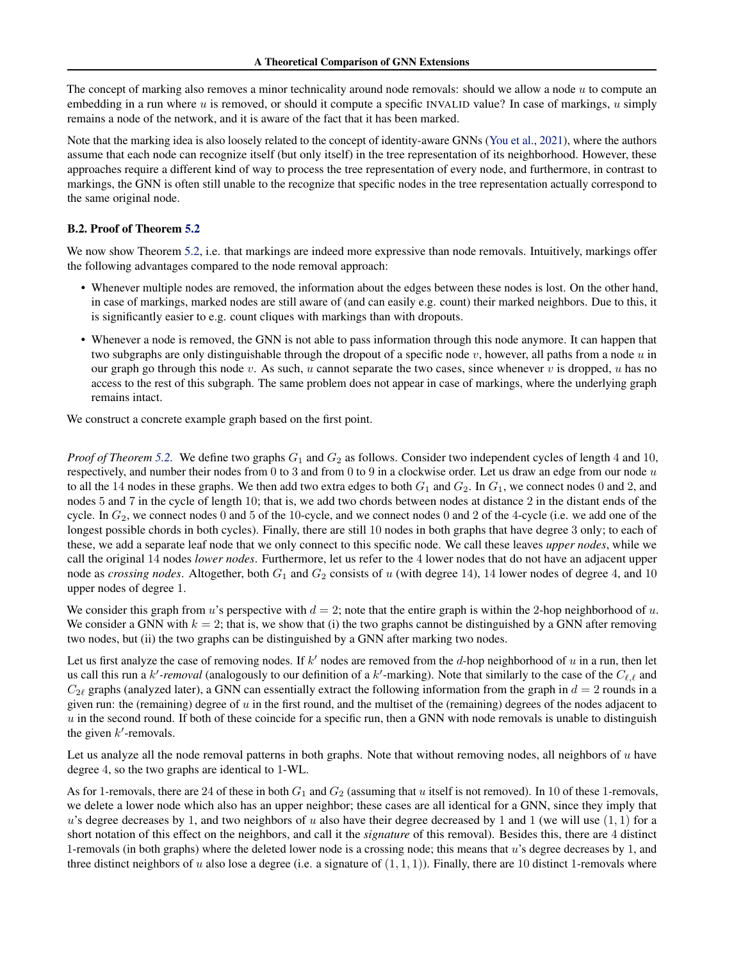The concept of marking also removes a minor technicality around node removals: should we allow a node u to compute an embedding in a run where u is removed, or should it compute a specific INVALID value? In case of markings, u simply remains a node of the network, and it is aware of the fact that it has been marked.

Note that the marking idea is also loosely related to the concept of identity-aware GNNs [\(You et al.,](#page-10-8) [2021\)](#page-10-8), where the authors assume that each node can recognize itself (but only itself) in the tree representation of its neighborhood. However, these approaches require a different kind of way to process the tree representation of every node, and furthermore, in contrast to markings, the GNN is often still unable to the recognize that specific nodes in the tree representation actually correspond to the same original node.

#### B.2. Proof of Theorem [5.2](#page-5-2)

We now show Theorem [5.2,](#page-5-2) i.e. that markings are indeed more expressive than node removals. Intuitively, markings offer the following advantages compared to the node removal approach:

- Whenever multiple nodes are removed, the information about the edges between these nodes is lost. On the other hand, in case of markings, marked nodes are still aware of (and can easily e.g. count) their marked neighbors. Due to this, it is significantly easier to e.g. count cliques with markings than with dropouts.
- Whenever a node is removed, the GNN is not able to pass information through this node anymore. It can happen that two subgraphs are only distinguishable through the dropout of a specific node  $v$ , however, all paths from a node  $u$  in our graph go through this node v. As such, u cannot separate the two cases, since whenever v is dropped, u has no access to the rest of this subgraph. The same problem does not appear in case of markings, where the underlying graph remains intact.

We construct a concrete example graph based on the first point.

*Proof of Theorem* [5.2.](#page-5-2) We define two graphs  $G_1$  and  $G_2$  as follows. Consider two independent cycles of length 4 and 10, respectively, and number their nodes from 0 to 3 and from 0 to 9 in a clockwise order. Let us draw an edge from our node  $u$ to all the 14 nodes in these graphs. We then add two extra edges to both  $G_1$  and  $G_2$ . In  $G_1$ , we connect nodes 0 and 2, and nodes 5 and 7 in the cycle of length 10; that is, we add two chords between nodes at distance 2 in the distant ends of the cycle. In  $G_2$ , we connect nodes 0 and 5 of the 10-cycle, and we connect nodes 0 and 2 of the 4-cycle (i.e. we add one of the longest possible chords in both cycles). Finally, there are still 10 nodes in both graphs that have degree 3 only; to each of these, we add a separate leaf node that we only connect to this specific node. We call these leaves *upper nodes*, while we call the original 14 nodes *lower nodes*. Furthermore, let us refer to the 4 lower nodes that do not have an adjacent upper node as *crossing nodes*. Altogether, both  $G_1$  and  $G_2$  consists of u (with degree 14), 14 lower nodes of degree 4, and 10 upper nodes of degree 1.

We consider this graph from u's perspective with  $d = 2$ ; note that the entire graph is within the 2-hop neighborhood of u. We consider a GNN with  $k = 2$ ; that is, we show that (i) the two graphs cannot be distinguished by a GNN after removing two nodes, but (ii) the two graphs can be distinguished by a GNN after marking two nodes.

Let us first analyze the case of removing nodes. If  $k'$  nodes are removed from the d-hop neighborhood of  $u$  in a run, then let us call this run a  $k'$ -removal (analogously to our definition of a  $k'$ -marking). Note that similarly to the case of the  $C_{\ell,\ell}$  and  $C_{2\ell}$  graphs (analyzed later), a GNN can essentially extract the following information from the graph in  $d = 2$  rounds in a given run: the (remaining) degree of  $u$  in the first round, and the multiset of the (remaining) degrees of the nodes adjacent to  $u$  in the second round. If both of these coincide for a specific run, then a GNN with node removals is unable to distinguish the given  $k'$ -removals.

Let us analyze all the node removal patterns in both graphs. Note that without removing nodes, all neighbors of  $u$  have degree 4, so the two graphs are identical to 1-WL.

As for 1-removals, there are 24 of these in both  $G_1$  and  $G_2$  (assuming that u itself is not removed). In 10 of these 1-removals, we delete a lower node which also has an upper neighbor; these cases are all identical for a GNN, since they imply that u's degree decreases by 1, and two neighbors of u also have their degree decreased by 1 and 1 (we will use  $(1, 1)$  for a short notation of this effect on the neighbors, and call it the *signature* of this removal). Besides this, there are 4 distinct 1-removals (in both graphs) where the deleted lower node is a crossing node; this means that  $u$ 's degree decreases by 1, and three distinct neighbors of u also lose a degree (i.e. a signature of  $(1, 1, 1)$ ). Finally, there are 10 distinct 1-removals where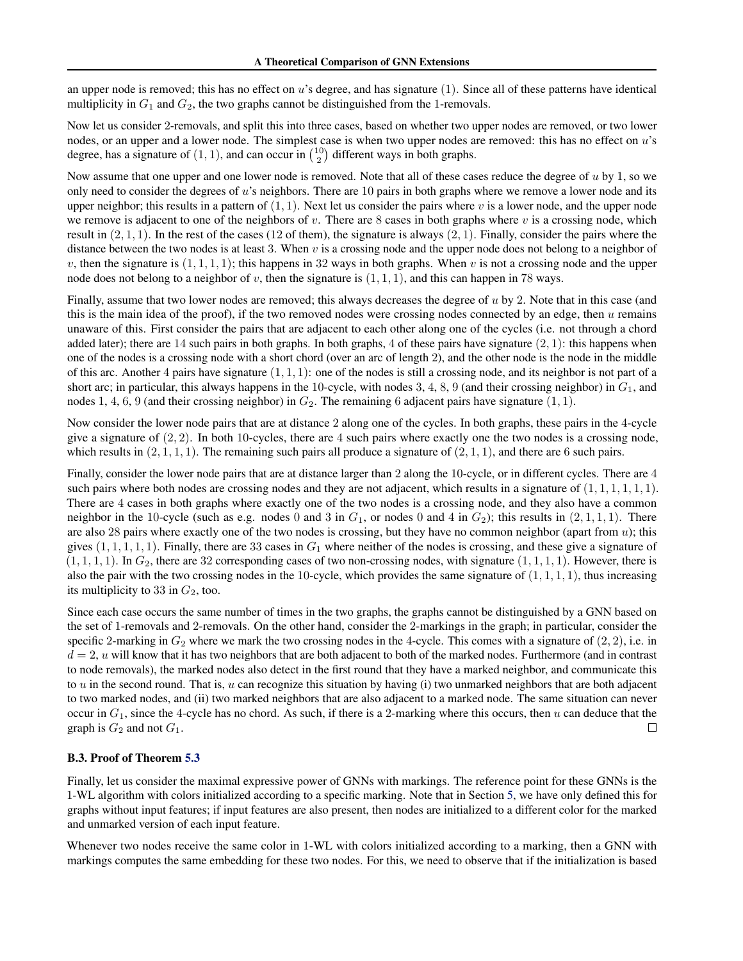an upper node is removed; this has no effect on  $u$ 's degree, and has signature  $(1)$ . Since all of these patterns have identical multiplicity in  $G_1$  and  $G_2$ , the two graphs cannot be distinguished from the 1-removals.

Now let us consider 2-removals, and split this into three cases, based on whether two upper nodes are removed, or two lower nodes, or an upper and a lower node. The simplest case is when two upper nodes are removed: this has no effect on u's degree, has a signature of  $(1, 1)$ , and can occur in  $\binom{10}{2}$  different ways in both graphs.

Now assume that one upper and one lower node is removed. Note that all of these cases reduce the degree of  $u$  by 1, so we only need to consider the degrees of u's neighbors. There are 10 pairs in both graphs where we remove a lower node and its upper neighbor; this results in a pattern of  $(1, 1)$ . Next let us consider the pairs where v is a lower node, and the upper node we remove is adjacent to one of the neighbors of v. There are 8 cases in both graphs where v is a crossing node, which result in  $(2, 1, 1)$ . In the rest of the cases (12 of them), the signature is always  $(2, 1)$ . Finally, consider the pairs where the distance between the two nodes is at least 3. When v is a crossing node and the upper node does not belong to a neighbor of v, then the signature is  $(1, 1, 1, 1)$ ; this happens in 32 ways in both graphs. When v is not a crossing node and the upper node does not belong to a neighbor of v, then the signature is  $(1, 1, 1)$ , and this can happen in 78 ways.

Finally, assume that two lower nodes are removed; this always decreases the degree of  $u$  by 2. Note that in this case (and this is the main idea of the proof), if the two removed nodes were crossing nodes connected by an edge, then  $u$  remains unaware of this. First consider the pairs that are adjacent to each other along one of the cycles (i.e. not through a chord added later); there are 14 such pairs in both graphs. In both graphs, 4 of these pairs have signature  $(2, 1)$ : this happens when one of the nodes is a crossing node with a short chord (over an arc of length 2), and the other node is the node in the middle of this arc. Another 4 pairs have signature  $(1, 1, 1)$ : one of the nodes is still a crossing node, and its neighbor is not part of a short arc; in particular, this always happens in the 10-cycle, with nodes 3, 4, 8, 9 (and their crossing neighbor) in  $G_1$ , and nodes 1, 4, 6, 9 (and their crossing neighbor) in  $G_2$ . The remaining 6 adjacent pairs have signature  $(1, 1)$ .

Now consider the lower node pairs that are at distance 2 along one of the cycles. In both graphs, these pairs in the 4-cycle give a signature of  $(2, 2)$ . In both 10-cycles, there are 4 such pairs where exactly one the two nodes is a crossing node, which results in  $(2, 1, 1, 1)$ . The remaining such pairs all produce a signature of  $(2, 1, 1)$ , and there are 6 such pairs.

Finally, consider the lower node pairs that are at distance larger than 2 along the 10-cycle, or in different cycles. There are 4 such pairs where both nodes are crossing nodes and they are not adjacent, which results in a signature of  $(1, 1, 1, 1, 1, 1)$ . There are 4 cases in both graphs where exactly one of the two nodes is a crossing node, and they also have a common neighbor in the 10-cycle (such as e.g. nodes 0 and 3 in  $G_1$ , or nodes 0 and 4 in  $G_2$ ); this results in  $(2, 1, 1, 1)$ . There are also 28 pairs where exactly one of the two nodes is crossing, but they have no common neighbor (apart from  $u$ ); this gives  $(1, 1, 1, 1, 1)$ . Finally, there are 33 cases in  $G_1$  where neither of the nodes is crossing, and these give a signature of  $(1, 1, 1, 1)$ . In  $G_2$ , there are 32 corresponding cases of two non-crossing nodes, with signature  $(1, 1, 1, 1)$ . However, there is also the pair with the two crossing nodes in the 10-cycle, which provides the same signature of  $(1, 1, 1, 1)$ , thus increasing its multiplicity to 33 in  $G_2$ , too.

Since each case occurs the same number of times in the two graphs, the graphs cannot be distinguished by a GNN based on the set of 1-removals and 2-removals. On the other hand, consider the 2-markings in the graph; in particular, consider the specific 2-marking in  $G_2$  where we mark the two crossing nodes in the 4-cycle. This comes with a signature of  $(2, 2)$ , i.e. in  $d = 2$ , u will know that it has two neighbors that are both adjacent to both of the marked nodes. Furthermore (and in contrast to node removals), the marked nodes also detect in the first round that they have a marked neighbor, and communicate this to  $u$  in the second round. That is,  $u$  can recognize this situation by having (i) two unmarked neighbors that are both adjacent to two marked nodes, and (ii) two marked neighbors that are also adjacent to a marked node. The same situation can never occur in  $G_1$ , since the 4-cycle has no chord. As such, if there is a 2-marking where this occurs, then u can deduce that the graph is  $G_2$  and not  $G_1$ .  $\Box$ 

### B.3. Proof of Theorem [5.3](#page-5-3)

Finally, let us consider the maximal expressive power of GNNs with markings. The reference point for these GNNs is the 1-WL algorithm with colors initialized according to a specific marking. Note that in Section [5,](#page-5-0) we have only defined this for graphs without input features; if input features are also present, then nodes are initialized to a different color for the marked and unmarked version of each input feature.

Whenever two nodes receive the same color in 1-WL with colors initialized according to a marking, then a GNN with markings computes the same embedding for these two nodes. For this, we need to observe that if the initialization is based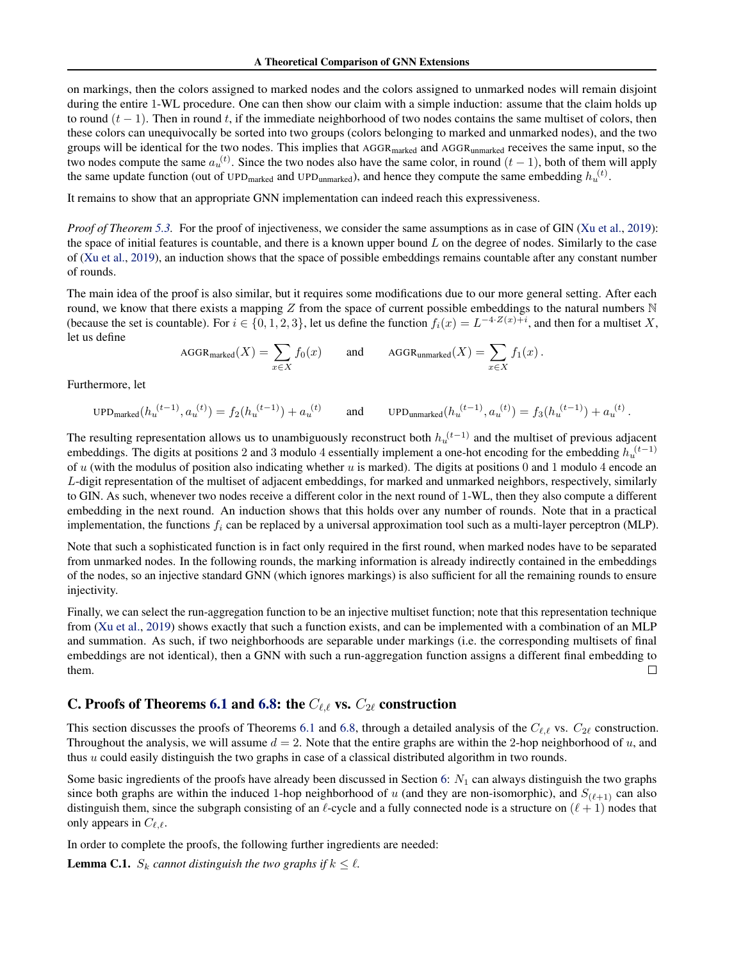on markings, then the colors assigned to marked nodes and the colors assigned to unmarked nodes will remain disjoint during the entire 1-WL procedure. One can then show our claim with a simple induction: assume that the claim holds up to round  $(t - 1)$ . Then in round t, if the immediate neighborhood of two nodes contains the same multiset of colors, then these colors can unequivocally be sorted into two groups (colors belonging to marked and unmarked nodes), and the two groups will be identical for the two nodes. This implies that AGGR<sub>marked</sub> and AGGR<sub>unmarked</sub> receives the same input, so the two nodes compute the same  $a_u^{(t)}$ . Since the two nodes also have the same color, in round  $(t-1)$ , both of them will apply the same update function (out of UPD<sub>marked</sub> and UPD<sub>unmarked</sub>), and hence they compute the same embedding  $h_u^{(t)}$ .

It remains to show that an appropriate GNN implementation can indeed reach this expressiveness.

*Proof of Theorem [5.3.](#page-5-3)* For the proof of injectiveness, we consider the same assumptions as in case of GIN [\(Xu et al.,](#page-10-7) [2019\)](#page-10-7): the space of initial features is countable, and there is a known upper bound  $L$  on the degree of nodes. Similarly to the case of [\(Xu et al.,](#page-10-7) [2019\)](#page-10-7), an induction shows that the space of possible embeddings remains countable after any constant number of rounds.

The main idea of the proof is also similar, but it requires some modifications due to our more general setting. After each round, we know that there exists a mapping  $Z$  from the space of current possible embeddings to the natural numbers  $N$ (because the set is countable). For  $i \in \{0, 1, 2, 3\}$ , let us define the function  $f_i(x) = L^{-4 \cdot Z(x) + i}$ , and then for a multiset X, let us define

$$
\text{AGGR}_{\text{marked}}(X) = \sum_{x \in X} f_0(x) \quad \text{and} \quad \text{AGGR}_{\text{unmarked}}(X) = \sum_{x \in X} f_1(x) \, .
$$

Furthermore, let

$$
\text{UPD}_{\text{marked}}(h_u^{(t-1)}, a_u^{(t)}) = f_2(h_u^{(t-1)}) + a_u^{(t)} \qquad \text{and} \qquad \text{UPD}_{\text{unmarked}}(h_u^{(t-1)}, a_u^{(t)}) = f_3(h_u^{(t-1)}) + a_u^{(t)} \,.
$$

The resulting representation allows us to unambiguously reconstruct both  $h_u^{(t-1)}$  and the multiset of previous adjacent embeddings. The digits at positions 2 and 3 modulo 4 essentially implement a one-hot encoding for the embedding  $h_u^{(t-1)}$ of u (with the modulus of position also indicating whether u is marked). The digits at positions 0 and 1 modulo 4 encode an L-digit representation of the multiset of adjacent embeddings, for marked and unmarked neighbors, respectively, similarly to GIN. As such, whenever two nodes receive a different color in the next round of 1-WL, then they also compute a different embedding in the next round. An induction shows that this holds over any number of rounds. Note that in a practical implementation, the functions  $f_i$  can be replaced by a universal approximation tool such as a multi-layer perceptron (MLP).

Note that such a sophisticated function is in fact only required in the first round, when marked nodes have to be separated from unmarked nodes. In the following rounds, the marking information is already indirectly contained in the embeddings of the nodes, so an injective standard GNN (which ignores markings) is also sufficient for all the remaining rounds to ensure injectivity.

Finally, we can select the run-aggregation function to be an injective multiset function; note that this representation technique from [\(Xu et al.,](#page-10-7) [2019\)](#page-10-7) shows exactly that such a function exists, and can be implemented with a combination of an MLP and summation. As such, if two neighborhoods are separable under markings (i.e. the corresponding multisets of final embeddings are not identical), then a GNN with such a run-aggregation function assigns a different final embedding to them.  $\Box$ 

# <span id="page-14-0"></span>C. Proofs of Theorems [6.1](#page-6-1) and [6.8:](#page-7-2) the  $C_{\ell,\ell}$  vs.  $C_{2\ell}$  construction

This section discusses the proofs of Theorems [6.1](#page-6-1) and [6.8,](#page-7-2) through a detailed analysis of the  $C_{\ell,\ell}$  vs.  $C_{2\ell}$  construction. Throughout the analysis, we will assume  $d = 2$ . Note that the entire graphs are within the 2-hop neighborhood of u, and thus  $u$  could easily distinguish the two graphs in case of a classical distributed algorithm in two rounds.

Some basic ingredients of the proofs have already been discussed in Section [6:](#page-5-1)  $N_1$  can always distinguish the two graphs since both graphs are within the induced 1-hop neighborhood of u (and they are non-isomorphic), and  $S_{(\ell+1)}$  can also distinguish them, since the subgraph consisting of an  $\ell$ -cycle and a fully connected node is a structure on  $(\ell + 1)$  nodes that only appears in  $C_{\ell,\ell}$ .

In order to complete the proofs, the following further ingredients are needed:

<span id="page-14-1"></span>**Lemma C.1.**  $S_k$  cannot distinguish the two graphs if  $k \leq l$ .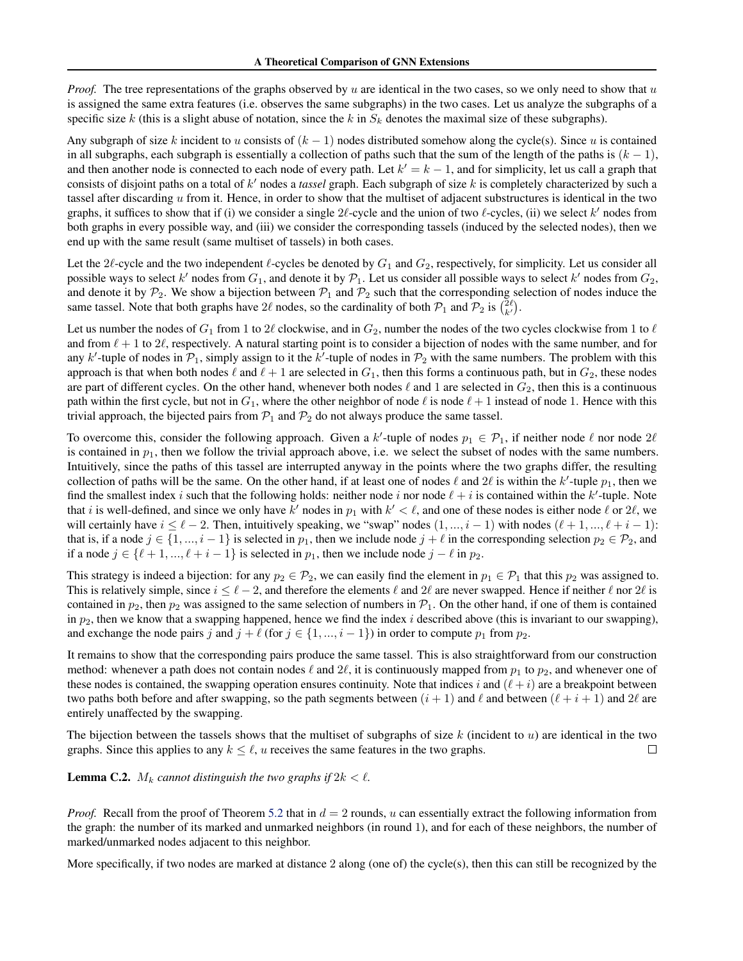*Proof.* The tree representations of the graphs observed by u are identical in the two cases, so we only need to show that u is assigned the same extra features (i.e. observes the same subgraphs) in the two cases. Let us analyze the subgraphs of a specific size k (this is a slight abuse of notation, since the k in  $S_k$  denotes the maximal size of these subgraphs).

Any subgraph of size k incident to u consists of  $(k - 1)$  nodes distributed somehow along the cycle(s). Since u is contained in all subgraphs, each subgraph is essentially a collection of paths such that the sum of the length of the paths is  $(k - 1)$ , and then another node is connected to each node of every path. Let  $k' = k - 1$ , and for simplicity, let us call a graph that consists of disjoint paths on a total of k ′ nodes a *tassel* graph. Each subgraph of size k is completely characterized by such a tassel after discarding u from it. Hence, in order to show that the multiset of adjacent substructures is identical in the two graphs, it suffices to show that if (i) we consider a single  $2\ell$ -cycle and the union of two  $\ell$ -cycles, (ii) we select  $k'$  nodes from both graphs in every possible way, and (iii) we consider the corresponding tassels (induced by the selected nodes), then we end up with the same result (same multiset of tassels) in both cases.

Let the 2 $\ell$ -cycle and the two independent  $\ell$ -cycles be denoted by  $G_1$  and  $G_2$ , respectively, for simplicity. Let us consider all possible ways to select  $k'$  nodes from  $G_1$ , and denote it by  $\mathcal{P}_1$ . Let us consider all possible ways to select  $k'$  nodes from  $G_2$ , and denote it by  $P_2$ . We show a bijection between  $P_1$  and  $P_2$  such that the corresponding selection of nodes induce the same tassel. Note that both graphs have 2 $\ell$  nodes, so the cardinality of both  $\mathcal{P}_1$  and  $\mathcal{P}_2$  is  $\binom{2\ell}{k'}$ .

Let us number the nodes of  $G_1$  from 1 to  $2\ell$  clockwise, and in  $G_2$ , number the nodes of the two cycles clockwise from 1 to  $\ell$ and from  $\ell + 1$  to  $2\ell$ , respectively. A natural starting point is to consider a bijection of nodes with the same number, and for any k'-tuple of nodes in  $P_1$ , simply assign to it the k'-tuple of nodes in  $P_2$  with the same numbers. The problem with this approach is that when both nodes  $\ell$  and  $\ell + 1$  are selected in  $G_1$ , then this forms a continuous path, but in  $G_2$ , these nodes are part of different cycles. On the other hand, whenever both nodes  $\ell$  and 1 are selected in  $G_2$ , then this is a continuous path within the first cycle, but not in  $G_1$ , where the other neighbor of node  $\ell$  is node  $\ell + 1$  instead of node 1. Hence with this trivial approach, the bijected pairs from  $P_1$  and  $P_2$  do not always produce the same tassel.

To overcome this, consider the following approach. Given a k'-tuple of nodes  $p_1 \in \mathcal{P}_1$ , if neither node  $\ell$  nor node  $2\ell$ is contained in  $p_1$ , then we follow the trivial approach above, i.e. we select the subset of nodes with the same numbers. Intuitively, since the paths of this tassel are interrupted anyway in the points where the two graphs differ, the resulting collection of paths will be the same. On the other hand, if at least one of nodes  $\ell$  and  $2\ell$  is within the  $k'$ -tuple  $p_1$ , then we find the smallest index i such that the following holds: neither node i nor node  $\ell + i$  is contained within the k'-tuple. Note that i is well-defined, and since we only have k' nodes in  $p_1$  with  $k' < \ell$ , and one of these nodes is either node  $\ell$  or  $2\ell$ , we will certainly have  $i \leq \ell - 2$ . Then, intuitively speaking, we "swap" nodes  $(1, ..., i - 1)$  with nodes  $(\ell + 1, ..., \ell + i - 1)$ : that is, if a node  $j \in \{1, ..., i-1\}$  is selected in  $p_1$ , then we include node  $j + \ell$  in the corresponding selection  $p_2 \in \mathcal{P}_2$ , and if a node  $j \in \{l + 1, ..., l + i - 1\}$  is selected in  $p_1$ , then we include node  $j - l$  in  $p_2$ .

This strategy is indeed a bijection: for any  $p_2 \in \mathcal{P}_2$ , we can easily find the element in  $p_1 \in \mathcal{P}_1$  that this  $p_2$  was assigned to. This is relatively simple, since  $i \leq \ell - 2$ , and therefore the elements  $\ell$  and  $2\ell$  are never swapped. Hence if neither  $\ell$  nor  $2\ell$  is contained in  $p_2$ , then  $p_2$  was assigned to the same selection of numbers in  $\mathcal{P}_1$ . On the other hand, if one of them is contained in  $p_2$ , then we know that a swapping happened, hence we find the index i described above (this is invariant to our swapping), and exchange the node pairs j and  $j + \ell$  (for  $j \in \{1, ..., i - 1\}$ ) in order to compute  $p_1$  from  $p_2$ .

It remains to show that the corresponding pairs produce the same tassel. This is also straightforward from our construction method: whenever a path does not contain nodes  $\ell$  and  $2\ell$ , it is continuously mapped from  $p_1$  to  $p_2$ , and whenever one of these nodes is contained, the swapping operation ensures continuity. Note that indices i and  $(\ell + i)$  are a breakpoint between two paths both before and after swapping, so the path segments between  $(i + 1)$  and  $\ell$  and between  $(\ell + i + 1)$  and  $2\ell$  are entirely unaffected by the swapping.

The bijection between the tassels shows that the multiset of subgraphs of size  $k$  (incident to  $u$ ) are identical in the two graphs. Since this applies to any  $k \leq \ell$ , u receives the same features in the two graphs. □

<span id="page-15-0"></span>**Lemma C.2.**  $M_k$  *cannot distinguish the two graphs if*  $2k < l$ *.* 

*Proof.* Recall from the proof of Theorem [5.2](#page-5-2) that in  $d = 2$  rounds, u can essentially extract the following information from the graph: the number of its marked and unmarked neighbors (in round 1), and for each of these neighbors, the number of marked/unmarked nodes adjacent to this neighbor.

More specifically, if two nodes are marked at distance 2 along (one of) the cycle(s), then this can still be recognized by the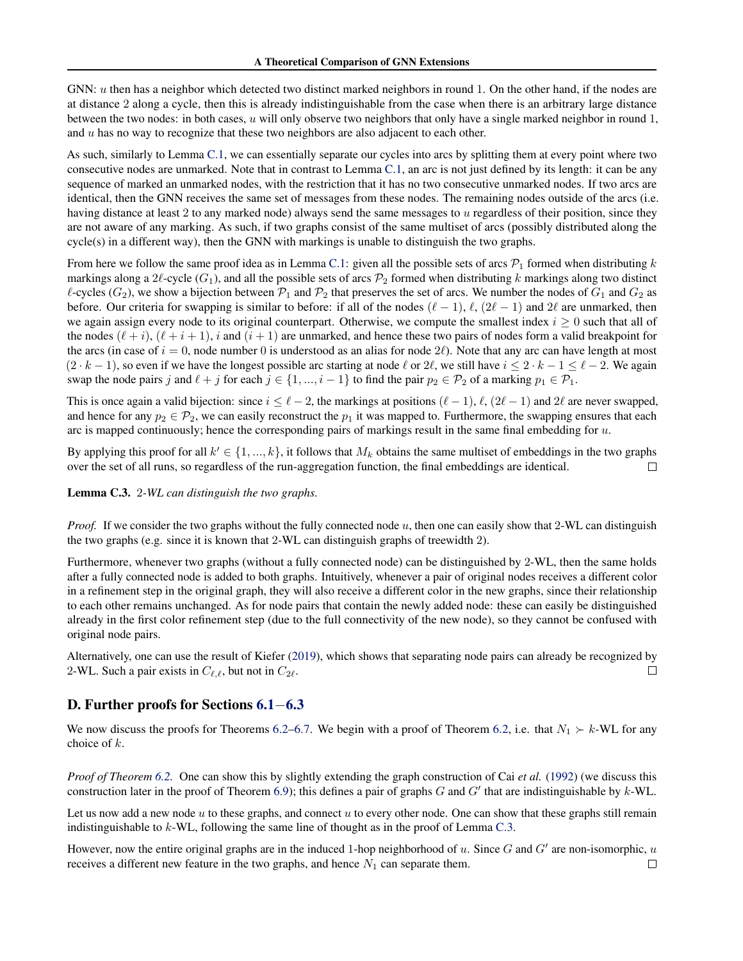GNN: u then has a neighbor which detected two distinct marked neighbors in round 1. On the other hand, if the nodes are at distance 2 along a cycle, then this is already indistinguishable from the case when there is an arbitrary large distance between the two nodes: in both cases, u will only observe two neighbors that only have a single marked neighbor in round 1, and  $u$  has no way to recognize that these two neighbors are also adjacent to each other.

As such, similarly to Lemma [C.1,](#page-14-1) we can essentially separate our cycles into arcs by splitting them at every point where two consecutive nodes are unmarked. Note that in contrast to Lemma [C.1,](#page-14-1) an arc is not just defined by its length: it can be any sequence of marked an unmarked nodes, with the restriction that it has no two consecutive unmarked nodes. If two arcs are identical, then the GNN receives the same set of messages from these nodes. The remaining nodes outside of the arcs (i.e. having distance at least 2 to any marked node) always send the same messages to u regardless of their position, since they are not aware of any marking. As such, if two graphs consist of the same multiset of arcs (possibly distributed along the  $cycle(s)$  in a different way), then the GNN with markings is unable to distinguish the two graphs.

From here we follow the same proof idea as in Lemma [C.1:](#page-14-1) given all the possible sets of arcs  $\mathcal{P}_1$  formed when distributing k markings along a  $2\ell$ -cycle ( $G_1$ ), and all the possible sets of arcs  $\mathcal{P}_2$  formed when distributing k markings along two distinct  $\ell$ -cycles ( $G_2$ ), we show a bijection between  $\mathcal{P}_1$  and  $\mathcal{P}_2$  that preserves the set of arcs. We number the nodes of  $G_1$  and  $G_2$  as before. Our criteria for swapping is similar to before: if all of the nodes  $(\ell - 1)$ ,  $\ell$ ,  $(2\ell - 1)$  and  $2\ell$  are unmarked, then we again assign every node to its original counterpart. Otherwise, we compute the smallest index  $i \geq 0$  such that all of the nodes  $(\ell + i)$ ,  $(\ell + i + 1)$ , i and  $(i + 1)$  are unmarked, and hence these two pairs of nodes form a valid breakpoint for the arcs (in case of  $i = 0$ , node number 0 is understood as an alias for node  $2\ell$ ). Note that any arc can have length at most  $(2 \cdot k - 1)$ , so even if we have the longest possible arc starting at node  $\ell$  or  $2\ell$ , we still have  $i \leq 2 \cdot k - 1 \leq \ell - 2$ . We again swap the node pairs j and  $\ell + j$  for each  $j \in \{1, ..., i-1\}$  to find the pair  $p_2 \in \mathcal{P}_2$  of a marking  $p_1 \in \mathcal{P}_1$ .

This is once again a valid bijection: since  $i \leq \ell - 2$ , the markings at positions  $(\ell - 1)$ ,  $\ell$ ,  $(2\ell - 1)$  and  $2\ell$  are never swapped, and hence for any  $p_2 \in \mathcal{P}_2$ , we can easily reconstruct the  $p_1$  it was mapped to. Furthermore, the swapping ensures that each arc is mapped continuously; hence the corresponding pairs of markings result in the same final embedding for  $u$ .

By applying this proof for all  $k' \in \{1, ..., k\}$ , it follows that  $M_k$  obtains the same multiset of embeddings in the two graphs over the set of all runs, so regardless of the run-aggregation function, the final embeddings are identical.  $\Box$ 

<span id="page-16-0"></span>Lemma C.3. 2*-WL can distinguish the two graphs.*

*Proof.* If we consider the two graphs without the fully connected node u, then one can easily show that 2-WL can distinguish the two graphs (e.g. since it is known that 2-WL can distinguish graphs of treewidth 2).

Furthermore, whenever two graphs (without a fully connected node) can be distinguished by 2-WL, then the same holds after a fully connected node is added to both graphs. Intuitively, whenever a pair of original nodes receives a different color in a refinement step in the original graph, they will also receive a different color in the new graphs, since their relationship to each other remains unchanged. As for node pairs that contain the newly added node: these can easily be distinguished already in the first color refinement step (due to the full connectivity of the new node), so they cannot be confused with original node pairs.

Alternatively, one can use the result of Kiefer [\(2019\)](#page-9-20), which shows that separating node pairs can already be recognized by 2-WL. Such a pair exists in  $C_{\ell,\ell}$ , but not in  $C_{2\ell}$ . П

# D. Further proofs for Sections [6.1](#page-6-2)−[6.3](#page-6-3)

We now discuss the proofs for Theorems [6.2–](#page-6-4)[6.7.](#page-7-3) We begin with a proof of Theorem [6.2,](#page-6-4) i.e. that  $N_1 \succ k$ -WL for any choice of k.

*Proof of Theorem [6.2.](#page-6-4)* One can show this by slightly extending the graph construction of Cai *et al.* [\(1992\)](#page-9-21) (we discuss this construction later in the proof of Theorem [6.9\)](#page-7-4); this defines a pair of graphs  $G$  and  $G'$  that are indistinguishable by  $k$ -WL.

Let us now add a new node  $u$  to these graphs, and connect  $u$  to every other node. One can show that these graphs still remain indistinguishable to  $k$ -WL, following the same line of thought as in the proof of Lemma [C.3.](#page-16-0)

However, now the entire original graphs are in the induced 1-hop neighborhood of  $u$ . Since  $G$  and  $G'$  are non-isomorphic,  $u$ receives a different new feature in the two graphs, and hence  $N_1$  can separate them.  $\Box$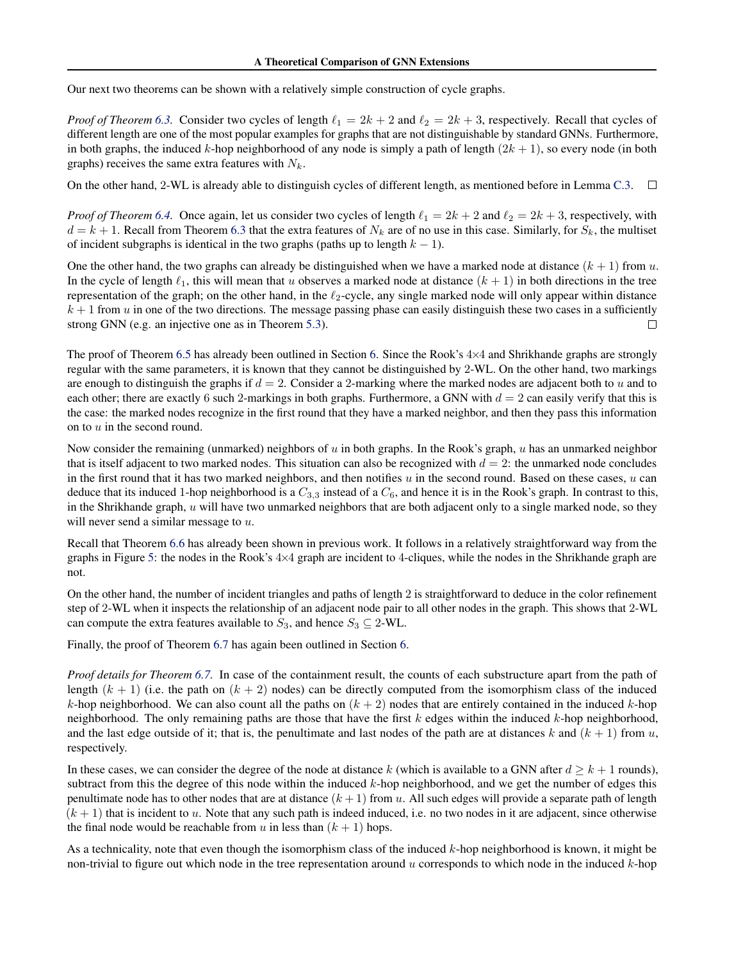Our next two theorems can be shown with a relatively simple construction of cycle graphs.

*Proof of Theorem* [6.3.](#page-6-5) Consider two cycles of length  $\ell_1 = 2k + 2$  and  $\ell_2 = 2k + 3$ , respectively. Recall that cycles of different length are one of the most popular examples for graphs that are not distinguishable by standard GNNs. Furthermore, in both graphs, the induced k-hop neighborhood of any node is simply a path of length  $(2k + 1)$ , so every node (in both graphs) receives the same extra features with  $N_k$ .

On the other hand, 2-WL is already able to distinguish cycles of different length, as mentioned before in Lemma [C.3.](#page-16-0)  $\Box$ 

*Proof of Theorem* [6.4.](#page-6-6) Once again, let us consider two cycles of length  $\ell_1 = 2k + 2$  and  $\ell_2 = 2k + 3$ , respectively, with  $d = k + 1$ . Recall from Theorem [6.3](#page-6-5) that the extra features of  $N_k$  are of no use in this case. Similarly, for  $S_k$ , the multiset of incident subgraphs is identical in the two graphs (paths up to length  $k - 1$ ).

One the other hand, the two graphs can already be distinguished when we have a marked node at distance  $(k + 1)$  from u. In the cycle of length  $\ell_1$ , this will mean that u observes a marked node at distance  $(k + 1)$  in both directions in the tree representation of the graph; on the other hand, in the  $\ell_2$ -cycle, any single marked node will only appear within distance  $k + 1$  from u in one of the two directions. The message passing phase can easily distinguish these two cases in a sufficiently П strong GNN (e.g. an injective one as in Theorem [5.3\)](#page-5-3).

The proof of Theorem [6.5](#page-6-7) has already been outlined in Section [6.](#page-5-1) Since the Rook's 4×4 and Shrikhande graphs are strongly regular with the same parameters, it is known that they cannot be distinguished by 2-WL. On the other hand, two markings are enough to distinguish the graphs if  $d = 2$ . Consider a 2-marking where the marked nodes are adjacent both to u and to each other; there are exactly 6 such 2-markings in both graphs. Furthermore, a GNN with  $d = 2$  can easily verify that this is the case: the marked nodes recognize in the first round that they have a marked neighbor, and then they pass this information on to  $u$  in the second round.

Now consider the remaining (unmarked) neighbors of  $u$  in both graphs. In the Rook's graph,  $u$  has an unmarked neighbor that is itself adjacent to two marked nodes. This situation can also be recognized with  $d = 2$ : the unmarked node concludes in the first round that it has two marked neighbors, and then notifies  $u$  in the second round. Based on these cases,  $u$  can deduce that its induced 1-hop neighborhood is a  $C_{3,3}$  instead of a  $C_6$ , and hence it is in the Rook's graph. In contrast to this, in the Shrikhande graph,  $u$  will have two unmarked neighbors that are both adjacent only to a single marked node, so they will never send a similar message to  $u$ .

Recall that Theorem [6.6](#page-7-5) has already been shown in previous work. It follows in a relatively straightforward way from the graphs in Figure [5:](#page-7-0) the nodes in the Rook's  $4\times4$  graph are incident to 4-cliques, while the nodes in the Shrikhande graph are not.

On the other hand, the number of incident triangles and paths of length 2 is straightforward to deduce in the color refinement step of 2-WL when it inspects the relationship of an adjacent node pair to all other nodes in the graph. This shows that 2-WL can compute the extra features available to  $S_3$ , and hence  $S_3 \subseteq 2$ -WL.

Finally, the proof of Theorem [6.7](#page-7-3) has again been outlined in Section [6.](#page-5-1)

*Proof details for Theorem [6.7.](#page-7-3)* In case of the containment result, the counts of each substructure apart from the path of length  $(k + 1)$  (i.e. the path on  $(k + 2)$  nodes) can be directly computed from the isomorphism class of the induced k-hop neighborhood. We can also count all the paths on  $(k + 2)$  nodes that are entirely contained in the induced k-hop neighborhood. The only remaining paths are those that have the first  $k$  edges within the induced  $k$ -hop neighborhood, and the last edge outside of it; that is, the penultimate and last nodes of the path are at distances k and  $(k + 1)$  from u, respectively.

In these cases, we can consider the degree of the node at distance k (which is available to a GNN after  $d \geq k+1$  rounds), subtract from this the degree of this node within the induced  $k$ -hop neighborhood, and we get the number of edges this penultimate node has to other nodes that are at distance  $(k + 1)$  from u. All such edges will provide a separate path of length  $(k + 1)$  that is incident to u. Note that any such path is indeed induced, i.e. no two nodes in it are adjacent, since otherwise the final node would be reachable from u in less than  $(k + 1)$  hops.

As a technicality, note that even though the isomorphism class of the induced  $k$ -hop neighborhood is known, it might be non-trivial to figure out which node in the tree representation around u corresponds to which node in the induced  $k$ -hop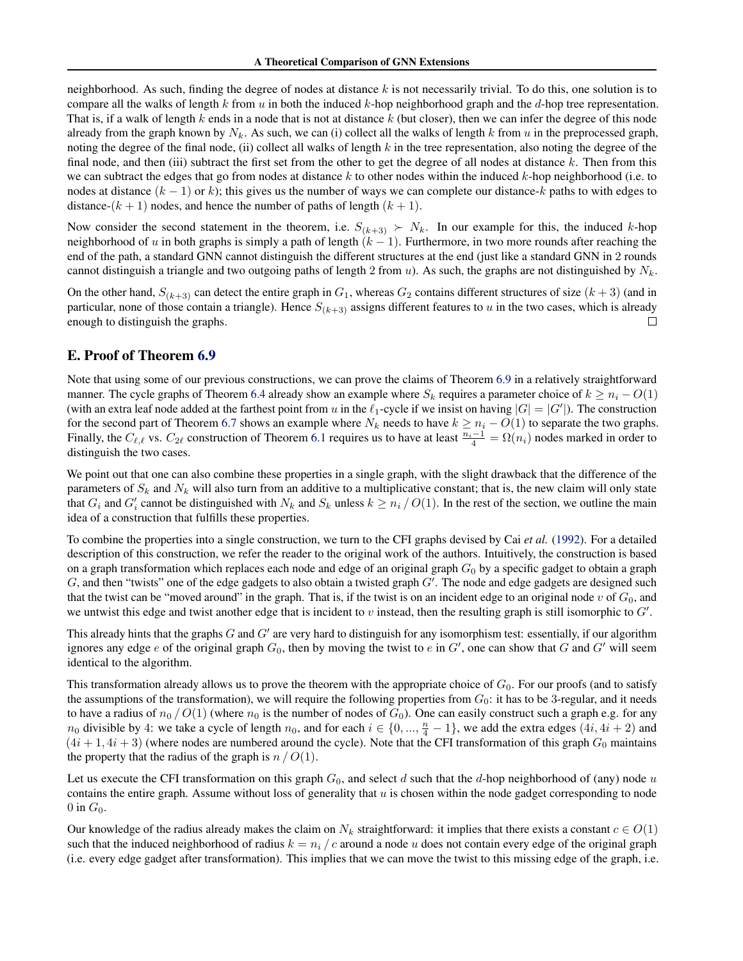neighborhood. As such, finding the degree of nodes at distance  $k$  is not necessarily trivial. To do this, one solution is to compare all the walks of length k from u in both the induced k-hop neighborhood graph and the d-hop tree representation. That is, if a walk of length k ends in a node that is not at distance  $k$  (but closer), then we can infer the degree of this node already from the graph known by  $N_k$ . As such, we can (i) collect all the walks of length k from u in the preprocessed graph, noting the degree of the final node, (ii) collect all walks of length  $k$  in the tree representation, also noting the degree of the final node, and then (iii) subtract the first set from the other to get the degree of all nodes at distance  $k$ . Then from this we can subtract the edges that go from nodes at distance k to other nodes within the induced k-hop neighborhood (i.e. to nodes at distance  $(k - 1)$  or k); this gives us the number of ways we can complete our distance-k paths to with edges to distance- $(k + 1)$  nodes, and hence the number of paths of length  $(k + 1)$ .

Now consider the second statement in the theorem, i.e.  $S_{(k+3)} \succ N_k$ . In our example for this, the induced k-hop neighborhood of u in both graphs is simply a path of length  $(k - 1)$ . Furthermore, in two more rounds after reaching the end of the path, a standard GNN cannot distinguish the different structures at the end (just like a standard GNN in 2 rounds cannot distinguish a triangle and two outgoing paths of length 2 from u). As such, the graphs are not distinguished by  $N_k$ .

On the other hand,  $S_{(k+3)}$  can detect the entire graph in  $G_1$ , whereas  $G_2$  contains different structures of size  $(k+3)$  (and in particular, none of those contain a triangle). Hence  $S_{(k+3)}$  assigns different features to u in the two cases, which is already enough to distinguish the graphs. □

# <span id="page-18-0"></span>E. Proof of Theorem [6.9](#page-7-4)

Note that using some of our previous constructions, we can prove the claims of Theorem [6.9](#page-7-4) in a relatively straightforward manner. The cycle graphs of Theorem [6.4](#page-6-6) already show an example where  $S_k$  requires a parameter choice of  $k \geq n_i - O(1)$ (with an extra leaf node added at the farthest point from u in the  $\ell_1$ -cycle if we insist on having  $|G| = |G'|$ ). The construction for the second part of Theorem [6.7](#page-7-3) shows an example where  $N_k$  needs to have  $k \ge n_i - O(1)$  to separate the two graphs. Finally, the  $C_{\ell,\ell}$  vs.  $C_{2\ell}$  construction of Theorem [6.1](#page-6-1) requires us to have at least  $\frac{n_i-1}{4} = \Omega(n_i)$  nodes marked in order to distinguish the two cases.

We point out that one can also combine these properties in a single graph, with the slight drawback that the difference of the parameters of  $S_k$  and  $N_k$  will also turn from an additive to a multiplicative constant; that is, the new claim will only state that  $G_i$  and  $G'_i$  cannot be distinguished with  $N_k$  and  $S_k$  unless  $k \geq n_i / O(1)$ . In the rest of the section, we outline the main idea of a construction that fulfills these properties.

To combine the properties into a single construction, we turn to the CFI graphs devised by Cai *et al.* [\(1992\)](#page-9-21). For a detailed description of this construction, we refer the reader to the original work of the authors. Intuitively, the construction is based on a graph transformation which replaces each node and edge of an original graph  $G_0$  by a specific gadget to obtain a graph  $G$ , and then "twists" one of the edge gadgets to also obtain a twisted graph  $G'$ . The node and edge gadgets are designed such that the twist can be "moved around" in the graph. That is, if the twist is on an incident edge to an original node v of  $G_0$ , and we untwist this edge and twist another edge that is incident to  $v$  instead, then the resulting graph is still isomorphic to  $G'$ .

This already hints that the graphs  $G$  and  $G'$  are very hard to distinguish for any isomorphism test: essentially, if our algorithm ignores any edge e of the original graph  $G_0$ , then by moving the twist to e in  $G'$ , one can show that  $G$  and  $G'$  will seem identical to the algorithm.

This transformation already allows us to prove the theorem with the appropriate choice of  $G_0$ . For our proofs (and to satisfy the assumptions of the transformation), we will require the following properties from  $G_0$ : it has to be 3-regular, and it needs to have a radius of  $n_0 / O(1)$  (where  $n_0$  is the number of nodes of  $G_0$ ). One can easily construct such a graph e.g. for any  $n_0$  divisible by 4: we take a cycle of length  $n_0$ , and for each  $i \in \{0, ..., \frac{n}{4} - 1\}$ , we add the extra edges  $(4i, 4i + 2)$  and  $(4i+1, 4i+3)$  (where nodes are numbered around the cycle). Note that the CFI transformation of this graph  $G_0$  maintains the property that the radius of the graph is  $n / O(1)$ .

Let us execute the CFI transformation on this graph  $G_0$ , and select d such that the d-hop neighborhood of (any) node u contains the entire graph. Assume without loss of generality that  $u$  is chosen within the node gadget corresponding to node 0 in  $G_0$ .

Our knowledge of the radius already makes the claim on  $N_k$  straightforward: it implies that there exists a constant  $c \in O(1)$ such that the induced neighborhood of radius  $k = n_i / c$  around a node u does not contain every edge of the original graph (i.e. every edge gadget after transformation). This implies that we can move the twist to this missing edge of the graph, i.e.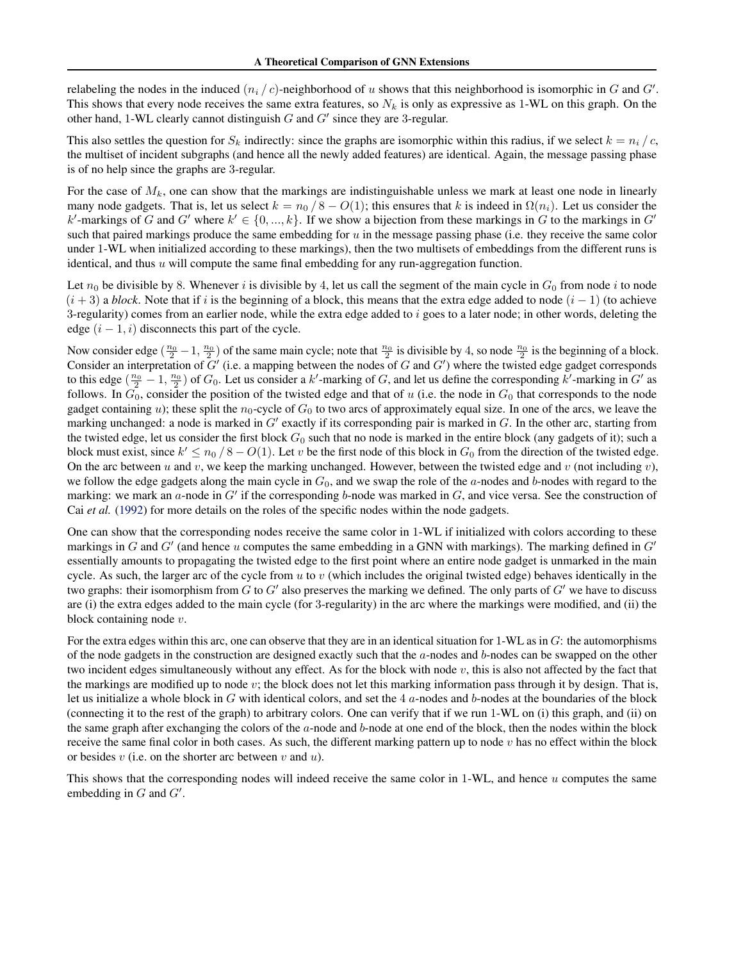relabeling the nodes in the induced  $(n_i / c)$ -neighborhood of u shows that this neighborhood is isomorphic in G and G'. This shows that every node receives the same extra features, so  $N_k$  is only as expressive as 1-WL on this graph. On the other hand, 1-WL clearly cannot distinguish  $G$  and  $G'$  since they are 3-regular.

This also settles the question for  $S_k$  indirectly: since the graphs are isomorphic within this radius, if we select  $k = n_i / c$ , the multiset of incident subgraphs (and hence all the newly added features) are identical. Again, the message passing phase is of no help since the graphs are 3-regular.

For the case of  $M_k$ , one can show that the markings are indistinguishable unless we mark at least one node in linearly many node gadgets. That is, let us select  $k = n_0 / 8 - O(1)$ ; this ensures that k is indeed in  $\Omega(n_i)$ . Let us consider the k'-markings of G and G' where  $k' \in \{0, ..., k\}$ . If we show a bijection from these markings in G to the markings in G' such that paired markings produce the same embedding for  $u$  in the message passing phase (i.e. they receive the same color under 1-WL when initialized according to these markings), then the two multisets of embeddings from the different runs is identical, and thus  $u$  will compute the same final embedding for any run-aggregation function.

Let  $n_0$  be divisible by 8. Whenever i is divisible by 4, let us call the segment of the main cycle in  $G_0$  from node i to node  $(i+3)$  a *block*. Note that if i is the beginning of a block, this means that the extra edge added to node  $(i-1)$  (to achieve 3-regularity) comes from an earlier node, while the extra edge added to  $i$  goes to a later node; in other words, deleting the edge  $(i - 1, i)$  disconnects this part of the cycle.

Now consider edge  $(\frac{n_0}{2} - 1, \frac{n_0}{2})$  of the same main cycle; note that  $\frac{n_0}{2}$  is divisible by 4, so node  $\frac{n_0}{2}$  is the beginning of a block. Consider an interpretation of  $G'$  (i.e. a mapping between the nodes of G and  $G'$ ) where the twisted edge gadget corresponds to this edge  $(\frac{n_0}{2} - 1, \frac{n_0}{2})$  of  $G_0$ . Let us consider a k'-marking of G, and let us define the corresponding k'-marking in G' as follows. In  $G_0$ , consider the position of the twisted edge and that of u (i.e. the node in  $G_0$  that corresponds to the node gadget containing u); these split the  $n_0$ -cycle of  $G_0$  to two arcs of approximately equal size. In one of the arcs, we leave the marking unchanged: a node is marked in  $G'$  exactly if its corresponding pair is marked in  $G$ . In the other arc, starting from the twisted edge, let us consider the first block  $G_0$  such that no node is marked in the entire block (any gadgets of it); such a block must exist, since  $k' \le n_0 / 8 - O(1)$ . Let v be the first node of this block in  $G_0$  from the direction of the twisted edge. On the arc between u and v, we keep the marking unchanged. However, between the twisted edge and v (not including v), we follow the edge gadgets along the main cycle in  $G_0$ , and we swap the role of the a-nodes and b-nodes with regard to the marking: we mark an  $a$ -node in  $G'$  if the corresponding b-node was marked in  $G$ , and vice versa. See the construction of Cai *et al.* [\(1992\)](#page-9-21) for more details on the roles of the specific nodes within the node gadgets.

One can show that the corresponding nodes receive the same color in 1-WL if initialized with colors according to these markings in G and  $G'$  (and hence u computes the same embedding in a GNN with markings). The marking defined in  $G'$ essentially amounts to propagating the twisted edge to the first point where an entire node gadget is unmarked in the main cycle. As such, the larger arc of the cycle from u to v (which includes the original twisted edge) behaves identically in the two graphs: their isomorphism from  $G$  to  $G'$  also preserves the marking we defined. The only parts of  $G'$  we have to discuss are (i) the extra edges added to the main cycle (for 3-regularity) in the arc where the markings were modified, and (ii) the block containing node  $v$ .

For the extra edges within this arc, one can observe that they are in an identical situation for  $1-WL$  as in  $G$ : the automorphisms of the node gadgets in the construction are designed exactly such that the  $a$ -nodes and  $b$ -nodes can be swapped on the other two incident edges simultaneously without any effect. As for the block with node  $v$ , this is also not affected by the fact that the markings are modified up to node v; the block does not let this marking information pass through it by design. That is, let us initialize a whole block in G with identical colors, and set the  $4a$ -nodes and b-nodes at the boundaries of the block (connecting it to the rest of the graph) to arbitrary colors. One can verify that if we run 1-WL on (i) this graph, and (ii) on the same graph after exchanging the colors of the  $a$ -node and  $b$ -node at one end of the block, then the nodes within the block receive the same final color in both cases. As such, the different marking pattern up to node  $v$  has no effect within the block or besides  $v$  (i.e. on the shorter arc between  $v$  and  $u$ ).

This shows that the corresponding nodes will indeed receive the same color in 1-WL, and hence u computes the same embedding in  $G$  and  $G'$ .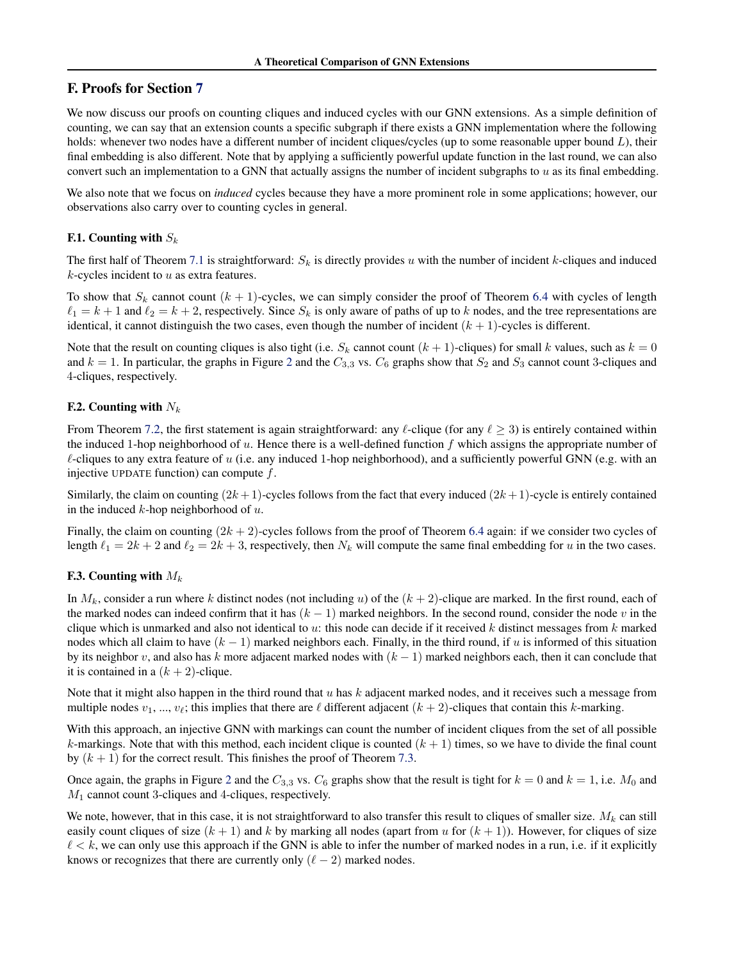# <span id="page-20-0"></span>F. Proofs for Section [7](#page-7-1)

We now discuss our proofs on counting cliques and induced cycles with our GNN extensions. As a simple definition of counting, we can say that an extension counts a specific subgraph if there exists a GNN implementation where the following holds: whenever two nodes have a different number of incident cliques/cycles (up to some reasonable upper bound L), their final embedding is also different. Note that by applying a sufficiently powerful update function in the last round, we can also convert such an implementation to a GNN that actually assigns the number of incident subgraphs to  $u$  as its final embedding.

We also note that we focus on *induced* cycles because they have a more prominent role in some applications; however, our observations also carry over to counting cycles in general.

#### **F.1.** Counting with  $S_k$

The first half of Theorem [7.1](#page-8-1) is straightforward:  $S_k$  is directly provides u with the number of incident k-cliques and induced  $k$ -cycles incident to  $u$  as extra features.

To show that  $S_k$  cannot count  $(k + 1)$ -cycles, we can simply consider the proof of Theorem [6.4](#page-6-6) with cycles of length  $\ell_1 = k + 1$  and  $\ell_2 = k + 2$ , respectively. Since  $S_k$  is only aware of paths of up to k nodes, and the tree representations are identical, it cannot distinguish the two cases, even though the number of incident  $(k + 1)$ -cycles is different.

Note that the result on counting cliques is also tight (i.e.  $S_k$  cannot count  $(k + 1)$ -cliques) for small k values, such as  $k = 0$ and  $k = 1$ . In particular, the graphs in Figure [2](#page-2-1) and the  $C_{3,3}$  vs.  $C_6$  graphs show that  $S_2$  and  $S_3$  cannot count 3-cliques and 4-cliques, respectively.

#### **F.2.** Counting with  $N_k$

From Theorem [7.2,](#page-8-2) the first statement is again straightforward: any  $\ell$ -clique (for any  $\ell > 3$ ) is entirely contained within the induced 1-hop neighborhood of u. Hence there is a well-defined function f which assigns the appropriate number of  $\ell$ -cliques to any extra feature of u (i.e. any induced 1-hop neighborhood), and a sufficiently powerful GNN (e.g. with an injective UPDATE function) can compute  $f$ .

Similarly, the claim on counting  $(2k+1)$ -cycles follows from the fact that every induced  $(2k+1)$ -cycle is entirely contained in the induced  $k$ -hop neighborhood of  $u$ .

Finally, the claim on counting  $(2k + 2)$ -cycles follows from the proof of Theorem [6.4](#page-6-6) again: if we consider two cycles of length  $\ell_1 = 2k + 2$  and  $\ell_2 = 2k + 3$ , respectively, then  $N_k$  will compute the same final embedding for u in the two cases.

#### F.3. Counting with  $M_k$

In  $M_k$ , consider a run where k distinct nodes (not including u) of the  $(k + 2)$ -clique are marked. In the first round, each of the marked nodes can indeed confirm that it has  $(k - 1)$  marked neighbors. In the second round, consider the node v in the clique which is unmarked and also not identical to u: this node can decide if it received  $k$  distinct messages from  $k$  marked nodes which all claim to have  $(k - 1)$  marked neighbors each. Finally, in the third round, if u is informed of this situation by its neighbor v, and also has k more adjacent marked nodes with  $(k - 1)$  marked neighbors each, then it can conclude that it is contained in a  $(k + 2)$ -clique.

Note that it might also happen in the third round that  $u$  has  $k$  adjacent marked nodes, and it receives such a message from multiple nodes  $v_1, ..., v_\ell$ ; this implies that there are  $\ell$  different adjacent  $(k+2)$ -cliques that contain this k-marking.

With this approach, an injective GNN with markings can count the number of incident cliques from the set of all possible k-markings. Note that with this method, each incident clique is counted  $(k + 1)$  times, so we have to divide the final count by  $(k + 1)$  for the correct result. This finishes the proof of Theorem [7.3.](#page-8-3)

Once again, the graphs in Figure [2](#page-2-1) and the  $C_{3,3}$  vs.  $C_6$  graphs show that the result is tight for  $k = 0$  and  $k = 1$ , i.e.  $M_0$  and  $M_1$  cannot count 3-cliques and 4-cliques, respectively.

We note, however, that in this case, it is not straightforward to also transfer this result to cliques of smaller size.  $M_k$  can still easily count cliques of size  $(k + 1)$  and k by marking all nodes (apart from u for  $(k + 1)$ ). However, for cliques of size  $\ell < k$ , we can only use this approach if the GNN is able to infer the number of marked nodes in a run, i.e. if it explicitly knows or recognizes that there are currently only  $(\ell - 2)$  marked nodes.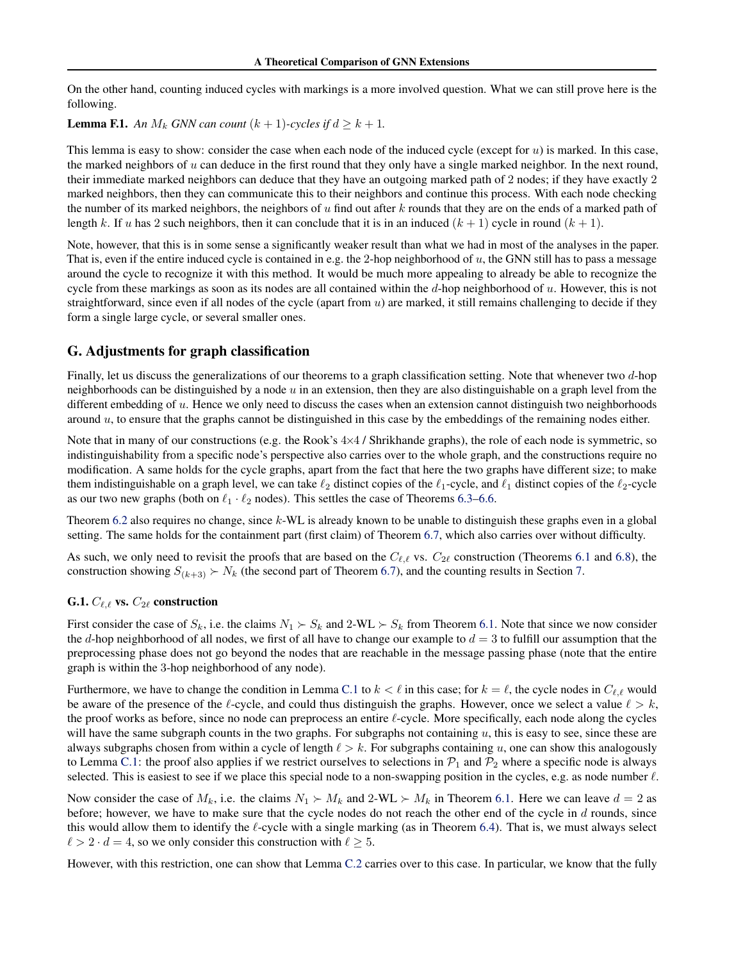On the other hand, counting induced cycles with markings is a more involved question. What we can still prove here is the following.

**Lemma F.1.** An  $M_k$  *GNN can count*  $(k + 1)$ *-cycles if*  $d \geq k + 1$ *.* 

This lemma is easy to show: consider the case when each node of the induced cycle (except for  $u$ ) is marked. In this case, the marked neighbors of  $u$  can deduce in the first round that they only have a single marked neighbor. In the next round, their immediate marked neighbors can deduce that they have an outgoing marked path of 2 nodes; if they have exactly 2 marked neighbors, then they can communicate this to their neighbors and continue this process. With each node checking the number of its marked neighbors, the neighbors of u find out after  $k$  rounds that they are on the ends of a marked path of length k. If u has 2 such neighbors, then it can conclude that it is in an induced  $(k + 1)$  cycle in round  $(k + 1)$ .

Note, however, that this is in some sense a significantly weaker result than what we had in most of the analyses in the paper. That is, even if the entire induced cycle is contained in e.g. the 2-hop neighborhood of  $u$ , the GNN still has to pass a message around the cycle to recognize it with this method. It would be much more appealing to already be able to recognize the cycle from these markings as soon as its nodes are all contained within the  $d$ -hop neighborhood of  $u$ . However, this is not straightforward, since even if all nodes of the cycle (apart from  $u$ ) are marked, it still remains challenging to decide if they form a single large cycle, or several smaller ones.

# <span id="page-21-0"></span>G. Adjustments for graph classification

Finally, let us discuss the generalizations of our theorems to a graph classification setting. Note that whenever two d-hop neighborhoods can be distinguished by a node  $u$  in an extension, then they are also distinguishable on a graph level from the different embedding of  $u$ . Hence we only need to discuss the cases when an extension cannot distinguish two neighborhoods around  $u$ , to ensure that the graphs cannot be distinguished in this case by the embeddings of the remaining nodes either.

Note that in many of our constructions (e.g. the Rook's  $4\times4$  / Shrikhande graphs), the role of each node is symmetric, so indistinguishability from a specific node's perspective also carries over to the whole graph, and the constructions require no modification. A same holds for the cycle graphs, apart from the fact that here the two graphs have different size; to make them indistinguishable on a graph level, we can take  $\ell_2$  distinct copies of the  $\ell_1$ -cycle, and  $\ell_1$  distinct copies of the  $\ell_2$ -cycle as our two new graphs (both on  $\ell_1 \cdot \ell_2$  nodes). This settles the case of Theorems [6.3–](#page-6-5)[6.6.](#page-7-5)

Theorem [6.2](#page-6-4) also requires no change, since k-WL is already known to be unable to distinguish these graphs even in a global setting. The same holds for the containment part (first claim) of Theorem [6.7,](#page-7-3) which also carries over without difficulty.

As such, we only need to revisit the proofs that are based on the  $C_{\ell,\ell}$  vs.  $C_{2\ell}$  construction (Theorems [6.1](#page-6-1) and [6.8\)](#page-7-2), the construction showing  $S_{(k+3)} \succ N_k$  (the second part of Theorem [6.7\)](#page-7-3), and the counting results in Section [7.](#page-7-1)

# G.1.  $C_{\ell,\ell}$  vs.  $C_{2\ell}$  construction

First consider the case of  $S_k$ , i.e. the claims  $N_1 \succ S_k$  and  $2-WL \succ S_k$  from Theorem [6.1.](#page-6-1) Note that since we now consider the d-hop neighborhood of all nodes, we first of all have to change our example to  $d = 3$  to fulfill our assumption that the preprocessing phase does not go beyond the nodes that are reachable in the message passing phase (note that the entire graph is within the 3-hop neighborhood of any node).

Furthermore, we have to change the condition in Lemma [C.1](#page-14-1) to  $k < \ell$  in this case; for  $k = \ell$ , the cycle nodes in  $C_{\ell,\ell}$  would be aware of the presence of the  $\ell$ -cycle, and could thus distinguish the graphs. However, once we select a value  $\ell > k$ , the proof works as before, since no node can preprocess an entire ℓ-cycle. More specifically, each node along the cycles will have the same subgraph counts in the two graphs. For subgraphs not containing  $u$ , this is easy to see, since these are always subgraphs chosen from within a cycle of length  $\ell > k$ . For subgraphs containing u, one can show this analogously to Lemma [C.1:](#page-14-1) the proof also applies if we restrict ourselves to selections in  $\mathcal{P}_1$  and  $\mathcal{P}_2$  where a specific node is always selected. This is easiest to see if we place this special node to a non-swapping position in the cycles, e.g. as node number  $\ell$ .

Now consider the case of  $M_k$ , i.e. the claims  $N_1 \succ M_k$  and  $2-WL \succ M_k$  in Theorem [6.1.](#page-6-1) Here we can leave  $d = 2$  as before; however, we have to make sure that the cycle nodes do not reach the other end of the cycle in  $d$  rounds, since this would allow them to identify the  $\ell$ -cycle with a single marking (as in Theorem [6.4\)](#page-6-6). That is, we must always select  $\ell > 2 \cdot d = 4$ , so we only consider this construction with  $\ell \geq 5$ .

However, with this restriction, one can show that Lemma [C.2](#page-15-0) carries over to this case. In particular, we know that the fully